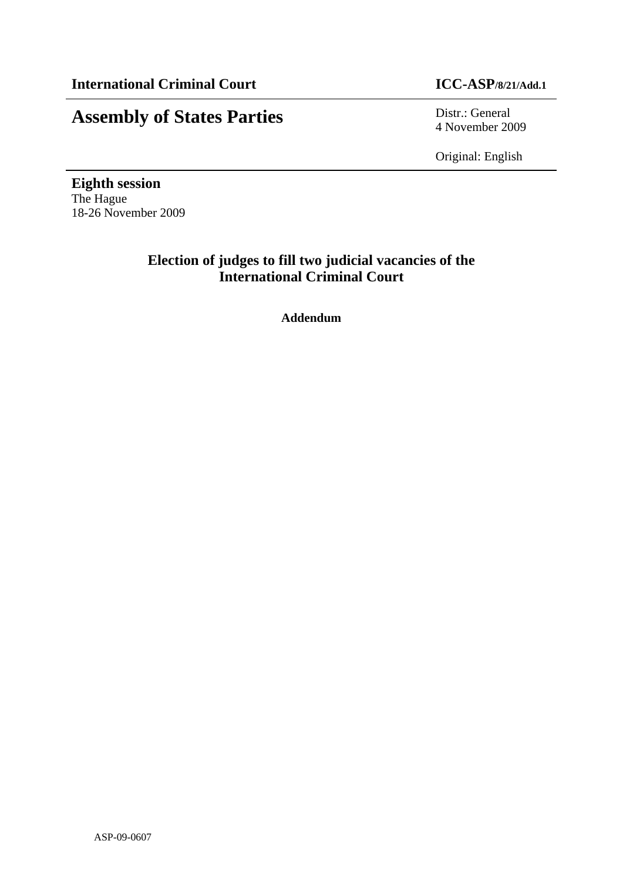# **Assembly of States Parties** Distr.: General

4 November 2009

Original: English

**Eighth session**  The Hague 18-26 November 2009

# **Election of judges to fill two judicial vacancies of the International Criminal Court**

**Addendum**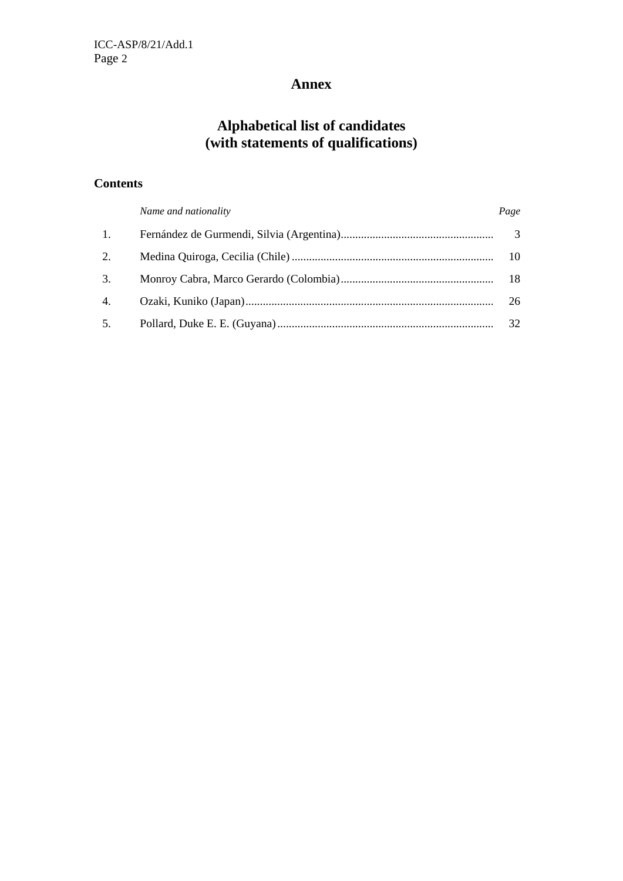# **Annex**

# **Alphabetical list of candidates (with statements of qualifications)**

# **Contents**

|                | Name and nationality | Page |
|----------------|----------------------|------|
| $\mathbf{1}$ . |                      |      |
| 2.             |                      | 10   |
| 3.             |                      |      |
| 4.             |                      | 26   |
| 5.             |                      | 32   |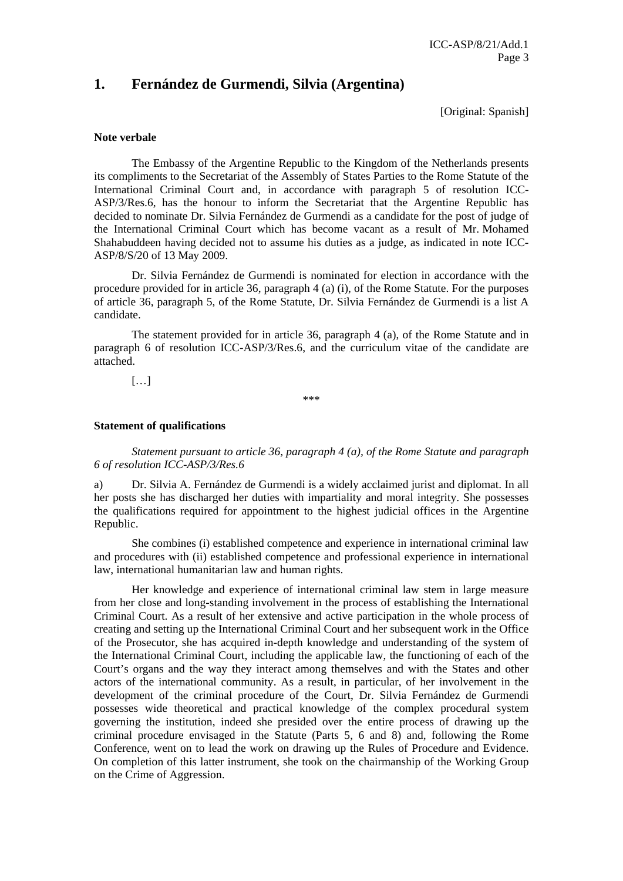# **1. Fernández de Gurmendi, Silvia (Argentina)**

[Original: Spanish]

#### **Note verbale**

The Embassy of the Argentine Republic to the Kingdom of the Netherlands presents its compliments to the Secretariat of the Assembly of States Parties to the Rome Statute of the International Criminal Court and, in accordance with paragraph 5 of resolution ICC-ASP/3/Res.6, has the honour to inform the Secretariat that the Argentine Republic has decided to nominate Dr. Silvia Fernández de Gurmendi as a candidate for the post of judge of the International Criminal Court which has become vacant as a result of Mr. Mohamed Shahabuddeen having decided not to assume his duties as a judge, as indicated in note ICC-ASP/8/S/20 of 13 May 2009.

 Dr. Silvia Fernández de Gurmendi is nominated for election in accordance with the procedure provided for in article 36, paragraph 4 (a) (i), of the Rome Statute. For the purposes of article 36, paragraph 5, of the Rome Statute, Dr. Silvia Fernández de Gurmendi is a list A candidate.

 The statement provided for in article 36, paragraph 4 (a), of the Rome Statute and in paragraph 6 of resolution ICC-ASP/3/Res.6, and the curriculum vitae of the candidate are attached.

 $[...]$ 

\*\*\*

#### **Statement of qualifications**

*Statement pursuant to article 36, paragraph 4 (a), of the Rome Statute and paragraph 6 of resolution ICC-ASP/3/Res.6* 

a) Dr. Silvia A. Fernández de Gurmendi is a widely acclaimed jurist and diplomat. In all her posts she has discharged her duties with impartiality and moral integrity. She possesses the qualifications required for appointment to the highest judicial offices in the Argentine Republic.

 She combines (i) established competence and experience in international criminal law and procedures with (ii) established competence and professional experience in international law, international humanitarian law and human rights.

 Her knowledge and experience of international criminal law stem in large measure from her close and long-standing involvement in the process of establishing the International Criminal Court. As a result of her extensive and active participation in the whole process of creating and setting up the International Criminal Court and her subsequent work in the Office of the Prosecutor, she has acquired in-depth knowledge and understanding of the system of the International Criminal Court, including the applicable law, the functioning of each of the Court's organs and the way they interact among themselves and with the States and other actors of the international community. As a result, in particular, of her involvement in the development of the criminal procedure of the Court, Dr. Silvia Fernández de Gurmendi possesses wide theoretical and practical knowledge of the complex procedural system governing the institution, indeed she presided over the entire process of drawing up the criminal procedure envisaged in the Statute (Parts 5, 6 and 8) and, following the Rome Conference, went on to lead the work on drawing up the Rules of Procedure and Evidence. On completion of this latter instrument, she took on the chairmanship of the Working Group on the Crime of Aggression.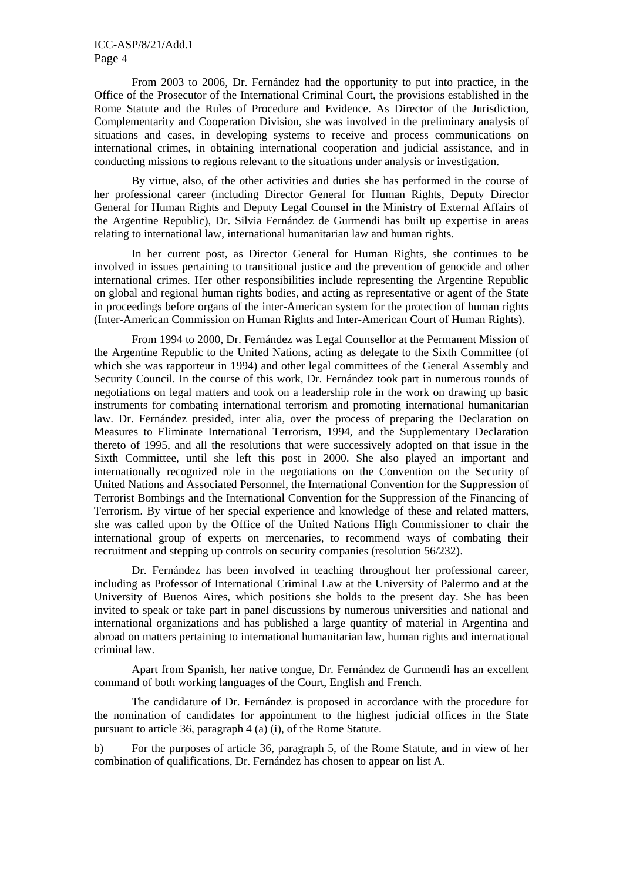From 2003 to 2006, Dr. Fernández had the opportunity to put into practice, in the Office of the Prosecutor of the International Criminal Court, the provisions established in the Rome Statute and the Rules of Procedure and Evidence. As Director of the Jurisdiction, Complementarity and Cooperation Division, she was involved in the preliminary analysis of situations and cases, in developing systems to receive and process communications on international crimes, in obtaining international cooperation and judicial assistance, and in conducting missions to regions relevant to the situations under analysis or investigation.

 By virtue, also, of the other activities and duties she has performed in the course of her professional career (including Director General for Human Rights, Deputy Director General for Human Rights and Deputy Legal Counsel in the Ministry of External Affairs of the Argentine Republic), Dr. Silvia Fernández de Gurmendi has built up expertise in areas relating to international law, international humanitarian law and human rights.

 In her current post, as Director General for Human Rights, she continues to be involved in issues pertaining to transitional justice and the prevention of genocide and other international crimes. Her other responsibilities include representing the Argentine Republic on global and regional human rights bodies, and acting as representative or agent of the State in proceedings before organs of the inter-American system for the protection of human rights (Inter-American Commission on Human Rights and Inter-American Court of Human Rights).

 From 1994 to 2000, Dr. Fernández was Legal Counsellor at the Permanent Mission of the Argentine Republic to the United Nations, acting as delegate to the Sixth Committee (of which she was rapporteur in 1994) and other legal committees of the General Assembly and Security Council. In the course of this work, Dr. Fernández took part in numerous rounds of negotiations on legal matters and took on a leadership role in the work on drawing up basic instruments for combating international terrorism and promoting international humanitarian law. Dr. Fernández presided, inter alia, over the process of preparing the Declaration on Measures to Eliminate International Terrorism, 1994, and the Supplementary Declaration thereto of 1995, and all the resolutions that were successively adopted on that issue in the Sixth Committee, until she left this post in 2000. She also played an important and internationally recognized role in the negotiations on the Convention on the Security of United Nations and Associated Personnel, the International Convention for the Suppression of Terrorist Bombings and the International Convention for the Suppression of the Financing of Terrorism. By virtue of her special experience and knowledge of these and related matters, she was called upon by the Office of the United Nations High Commissioner to chair the international group of experts on mercenaries, to recommend ways of combating their recruitment and stepping up controls on security companies (resolution 56/232).

 Dr. Fernández has been involved in teaching throughout her professional career, including as Professor of International Criminal Law at the University of Palermo and at the University of Buenos Aires, which positions she holds to the present day. She has been invited to speak or take part in panel discussions by numerous universities and national and international organizations and has published a large quantity of material in Argentina and abroad on matters pertaining to international humanitarian law, human rights and international criminal law.

 Apart from Spanish, her native tongue, Dr. Fernández de Gurmendi has an excellent command of both working languages of the Court, English and French.

 The candidature of Dr. Fernández is proposed in accordance with the procedure for the nomination of candidates for appointment to the highest judicial offices in the State pursuant to article 36, paragraph 4 (a) (i), of the Rome Statute.

b) For the purposes of article 36, paragraph 5, of the Rome Statute, and in view of her combination of qualifications, Dr. Fernández has chosen to appear on list A.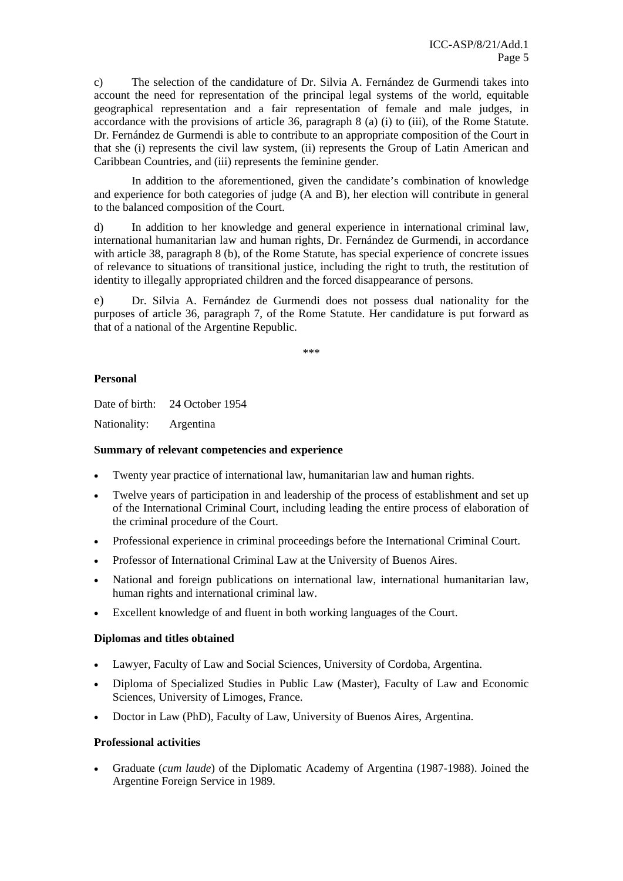c) The selection of the candidature of Dr. Silvia A. Fernández de Gurmendi takes into account the need for representation of the principal legal systems of the world, equitable geographical representation and a fair representation of female and male judges, in accordance with the provisions of article 36, paragraph 8 (a) (i) to (iii), of the Rome Statute. Dr. Fernández de Gurmendi is able to contribute to an appropriate composition of the Court in that she (i) represents the civil law system, (ii) represents the Group of Latin American and Caribbean Countries, and (iii) represents the feminine gender.

 In addition to the aforementioned, given the candidate's combination of knowledge and experience for both categories of judge (A and B), her election will contribute in general to the balanced composition of the Court.

d) In addition to her knowledge and general experience in international criminal law, international humanitarian law and human rights, Dr. Fernández de Gurmendi, in accordance with article 38, paragraph 8 (b), of the Rome Statute, has special experience of concrete issues of relevance to situations of transitional justice, including the right to truth, the restitution of identity to illegally appropriated children and the forced disappearance of persons.

e) Dr. Silvia A. Fernández de Gurmendi does not possess dual nationality for the purposes of article 36, paragraph 7, of the Rome Statute. Her candidature is put forward as that of a national of the Argentine Republic.

\*\*\*

# **Personal**

Date of birth: 24 October 1954

Nationality: Argentina

### **Summary of relevant competencies and experience**

- Twenty year practice of international law, humanitarian law and human rights.
- Twelve years of participation in and leadership of the process of establishment and set up of the International Criminal Court, including leading the entire process of elaboration of the criminal procedure of the Court.
- Professional experience in criminal proceedings before the International Criminal Court.
- Professor of International Criminal Law at the University of Buenos Aires.
- National and foreign publications on international law, international humanitarian law, human rights and international criminal law.
- Excellent knowledge of and fluent in both working languages of the Court.

### **Diplomas and titles obtained**

- Lawyer, Faculty of Law and Social Sciences, University of Cordoba, Argentina.
- Diploma of Specialized Studies in Public Law (Master), Faculty of Law and Economic Sciences, University of Limoges, France.
- Doctor in Law (PhD), Faculty of Law, University of Buenos Aires, Argentina.

### **Professional activities**

• Graduate (*cum laude*) of the Diplomatic Academy of Argentina (1987-1988). Joined the Argentine Foreign Service in 1989.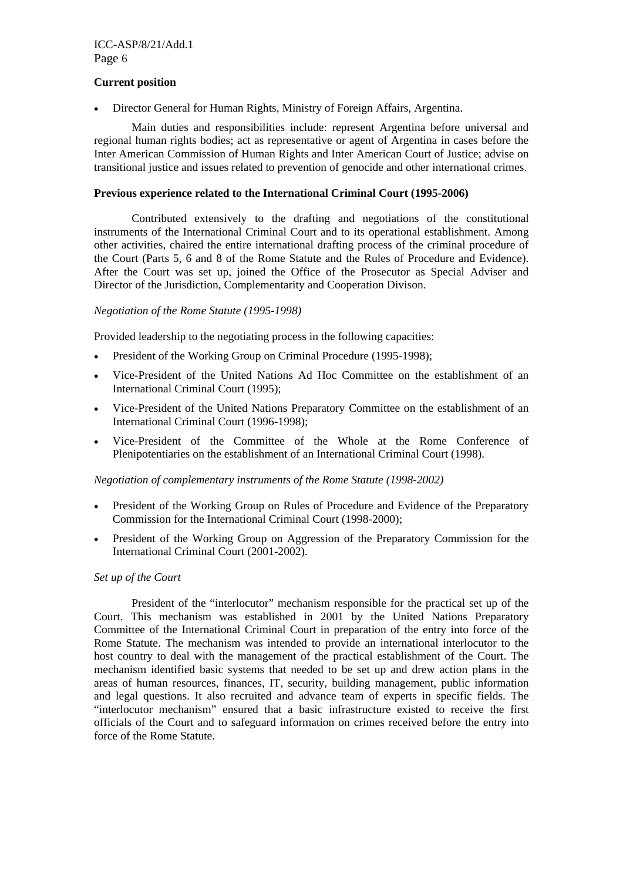#### **Current position**

• Director General for Human Rights, Ministry of Foreign Affairs, Argentina.

 Main duties and responsibilities include: represent Argentina before universal and regional human rights bodies; act as representative or agent of Argentina in cases before the Inter American Commission of Human Rights and Inter American Court of Justice; advise on transitional justice and issues related to prevention of genocide and other international crimes.

#### **Previous experience related to the International Criminal Court (1995-2006)**

 Contributed extensively to the drafting and negotiations of the constitutional instruments of the International Criminal Court and to its operational establishment. Among other activities, chaired the entire international drafting process of the criminal procedure of the Court (Parts 5, 6 and 8 of the Rome Statute and the Rules of Procedure and Evidence). After the Court was set up, joined the Office of the Prosecutor as Special Adviser and Director of the Jurisdiction, Complementarity and Cooperation Divison.

#### *Negotiation of the Rome Statute (1995-1998)*

Provided leadership to the negotiating process in the following capacities:

- President of the Working Group on Criminal Procedure (1995-1998);
- Vice-President of the United Nations Ad Hoc Committee on the establishment of an International Criminal Court (1995);
- Vice-President of the United Nations Preparatory Committee on the establishment of an International Criminal Court (1996-1998);
- Vice-President of the Committee of the Whole at the Rome Conference of Plenipotentiaries on the establishment of an International Criminal Court (1998).

#### *Negotiation of complementary instruments of the Rome Statute (1998-2002)*

- President of the Working Group on Rules of Procedure and Evidence of the Preparatory Commission for the International Criminal Court (1998-2000);
- President of the Working Group on Aggression of the Preparatory Commission for the International Criminal Court (2001-2002).

### *Set up of the Court*

President of the "interlocutor" mechanism responsible for the practical set up of the Court. This mechanism was established in 2001 by the United Nations Preparatory Committee of the International Criminal Court in preparation of the entry into force of the Rome Statute. The mechanism was intended to provide an international interlocutor to the host country to deal with the management of the practical establishment of the Court. The mechanism identified basic systems that needed to be set up and drew action plans in the areas of human resources, finances, IT, security, building management, public information and legal questions. It also recruited and advance team of experts in specific fields. The "interlocutor mechanism" ensured that a basic infrastructure existed to receive the first officials of the Court and to safeguard information on crimes received before the entry into force of the Rome Statute.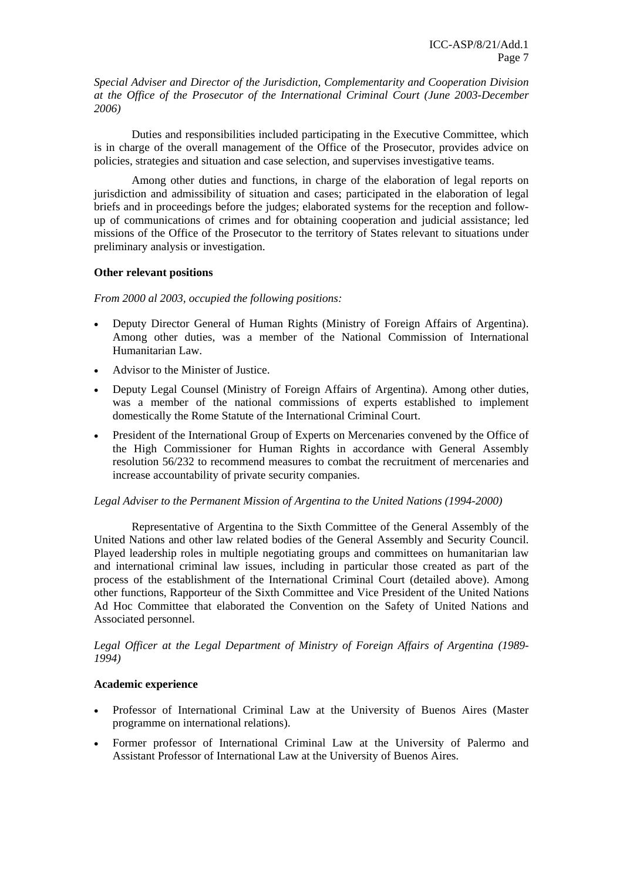*Special Adviser and Director of the Jurisdiction, Complementarity and Cooperation Division at the Office of the Prosecutor of the International Criminal Court (June 2003-December 2006)* 

Duties and responsibilities included participating in the Executive Committee, which is in charge of the overall management of the Office of the Prosecutor, provides advice on policies, strategies and situation and case selection, and supervises investigative teams.

Among other duties and functions, in charge of the elaboration of legal reports on jurisdiction and admissibility of situation and cases; participated in the elaboration of legal briefs and in proceedings before the judges; elaborated systems for the reception and followup of communications of crimes and for obtaining cooperation and judicial assistance; led missions of the Office of the Prosecutor to the territory of States relevant to situations under preliminary analysis or investigation.

### **Other relevant positions**

*From 2000 al 2003, occupied the following positions:* 

- Deputy Director General of Human Rights (Ministry of Foreign Affairs of Argentina). Among other duties, was a member of the National Commission of International Humanitarian Law.
- Advisor to the Minister of Justice.
- Deputy Legal Counsel (Ministry of Foreign Affairs of Argentina). Among other duties, was a member of the national commissions of experts established to implement domestically the Rome Statute of the International Criminal Court.
- President of the International Group of Experts on Mercenaries convened by the Office of the High Commissioner for Human Rights in accordance with General Assembly resolution 56/232 to recommend measures to combat the recruitment of mercenaries and increase accountability of private security companies.

# *Legal Adviser to the Permanent Mission of Argentina to the United Nations (1994-2000)*

 Representative of Argentina to the Sixth Committee of the General Assembly of the United Nations and other law related bodies of the General Assembly and Security Council. Played leadership roles in multiple negotiating groups and committees on humanitarian law and international criminal law issues, including in particular those created as part of the process of the establishment of the International Criminal Court (detailed above). Among other functions, Rapporteur of the Sixth Committee and Vice President of the United Nations Ad Hoc Committee that elaborated the Convention on the Safety of United Nations and Associated personnel.

*Legal Officer at the Legal Department of Ministry of Foreign Affairs of Argentina (1989- 1994)* 

### **Academic experience**

- Professor of International Criminal Law at the University of Buenos Aires (Master programme on international relations).
- Former professor of International Criminal Law at the University of Palermo and Assistant Professor of International Law at the University of Buenos Aires.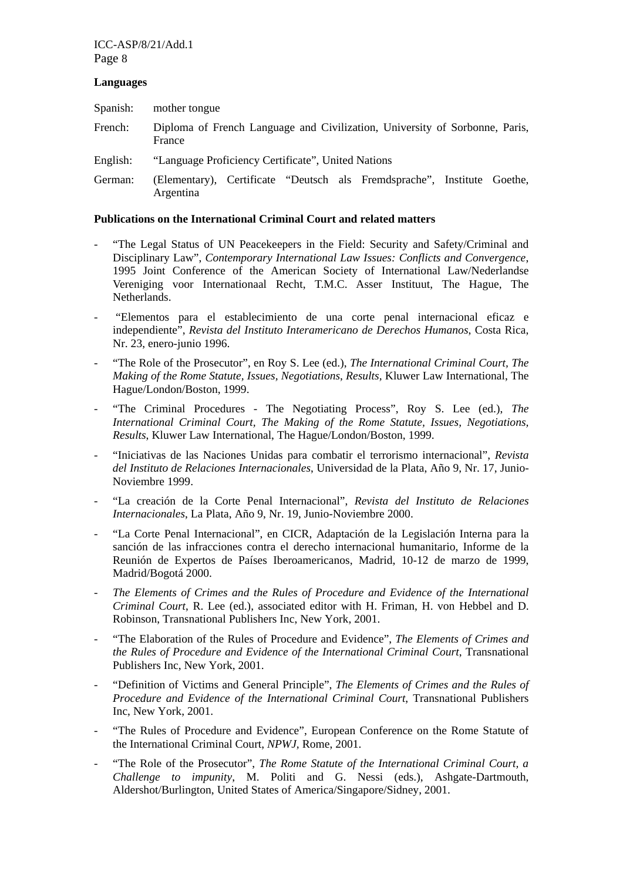### ICC-ASP/8/21/Add.1 Page 8

#### **Languages**

| Spanish: | mother tongue                                                                         |  |  |  |
|----------|---------------------------------------------------------------------------------------|--|--|--|
| French:  | Diploma of French Language and Civilization, University of Sorbonne, Paris,<br>France |  |  |  |
| English: | "Language Proficiency Certificate", United Nations                                    |  |  |  |
| German:  | (Elementary), Certificate "Deutsch als Fremdsprache", Institute Goethe,<br>Argentina  |  |  |  |

#### **Publications on the International Criminal Court and related matters**

- "The Legal Status of UN Peacekeepers in the Field: Security and Safety/Criminal and Disciplinary Law", *Contemporary International Law Issues: Conflicts and Convergence*, 1995 Joint Conference of the American Society of International Law/Nederlandse Vereniging voor Internationaal Recht, T.M.C. Asser Instituut, The Hague, The Netherlands.
- "Elementos para el establecimiento de una corte penal internacional eficaz e independiente", *Revista del Instituto Interamericano de Derechos Humanos*, Costa Rica, Nr. 23, enero-junio 1996.
- "The Role of the Prosecutor", en Roy S. Lee (ed.), *The International Criminal Court, The Making of the Rome Statute, Issues, Negotiations*, *Results,* Kluwer Law International, The Hague/London/Boston, 1999.
- "The Criminal Procedures The Negotiating Process", Roy S. Lee (ed.), The *International Criminal Court, The Making of the Rome Statute, Issues, Negotiations, Results*, Kluwer Law International, The Hague/London/Boston, 1999.
- "Iniciativas de las Naciones Unidas para combatir el terrorismo internacional", *Revista del Instituto de Relaciones Internacionales*, Universidad de la Plata, Año 9, Nr. 17, Junio-Noviembre 1999.
- "La creación de la Corte Penal Internacional", *Revista del Instituto de Relaciones Internacionales*, La Plata, Año 9, Nr. 19, Junio-Noviembre 2000.
- "La Corte Penal Internacional", en CICR, Adaptación de la Legislación Interna para la sanción de las infracciones contra el derecho internacional humanitario, Informe de la Reunión de Expertos de Países Iberoamericanos, Madrid, 10-12 de marzo de 1999, Madrid/Bogotá 2000.
- *The Elements of Crimes and the Rules of Procedure and Evidence of the International Criminal Court*, R. Lee (ed.), associated editor with H. Friman, H. von Hebbel and D. Robinson, Transnational Publishers Inc, New York, 2001.
- "The Elaboration of the Rules of Procedure and Evidence", *The Elements of Crimes and the Rules of Procedure and Evidence of the International Criminal Court*, Transnational Publishers Inc, New York, 2001.
- "Definition of Victims and General Principle", *The Elements of Crimes and the Rules of Procedure and Evidence of the International Criminal Court*, Transnational Publishers Inc, New York, 2001.
- "The Rules of Procedure and Evidence", European Conference on the Rome Statute of the International Criminal Court, *NPWJ,* Rome, 2001.
- "The Role of the Prosecutor", *The Rome Statute of the International Criminal Court, a Challenge to impunity*, M. Politi and G. Nessi (eds.), Ashgate-Dartmouth, Aldershot/Burlington, United States of America/Singapore/Sidney, 2001.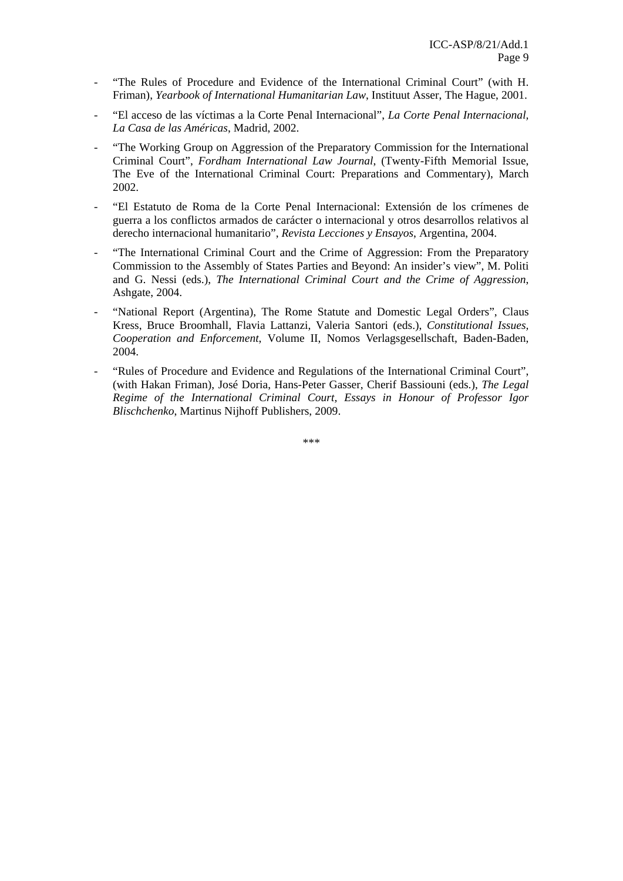- "The Rules of Procedure and Evidence of the International Criminal Court" (with H. Friman), *Yearbook of International Humanitarian Law*, Instituut Asser, The Hague, 2001.
- "El acceso de las víctimas a la Corte Penal Internacional", *La Corte Penal Internacional, La Casa de las Américas*, Madrid, 2002.
- "The Working Group on Aggression of the Preparatory Commission for the International Criminal Court", *Fordham International Law Journal*, (Twenty-Fifth Memorial Issue, The Eve of the International Criminal Court: Preparations and Commentary), March 2002.
- "El Estatuto de Roma de la Corte Penal Internacional: Extensión de los crímenes de guerra a los conflictos armados de carácter o internacional y otros desarrollos relativos al derecho internacional humanitario", *Revista Lecciones y Ensayos*, Argentina, 2004.
- "The International Criminal Court and the Crime of Aggression: From the Preparatory Commission to the Assembly of States Parties and Beyond: An insider's view", M. Politi and G. Nessi (eds.), *The International Criminal Court and the Crime of Aggression*, Ashgate, 2004.
- "National Report (Argentina), The Rome Statute and Domestic Legal Orders", Claus Kress, Bruce Broomhall, Flavia Lattanzi, Valeria Santori (eds.), *Constitutional Issues, Cooperation and Enforcement*, Volume II, Nomos Verlagsgesellschaft, Baden-Baden, 2004.
- "Rules of Procedure and Evidence and Regulations of the International Criminal Court", (with Hakan Friman), José Doria, Hans-Peter Gasser, Cherif Bassiouni (eds.), *The Legal Regime of the International Criminal Court, Essays in Honour of Professor Igor Blischchenko*, Martinus Nijhoff Publishers, 2009.

\*\*\*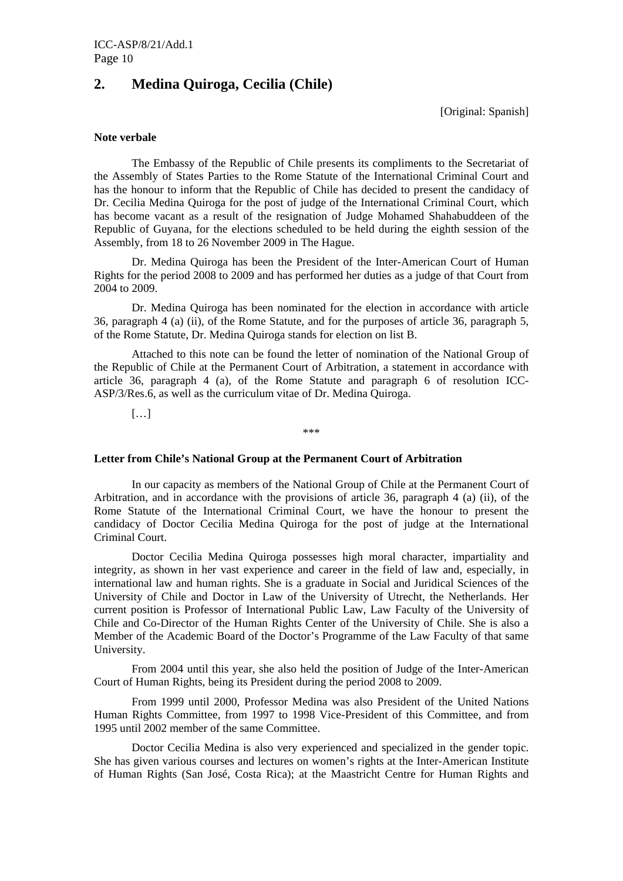# **2. Medina Quiroga, Cecilia (Chile)**

[Original: Spanish]

#### **Note verbale**

The Embassy of the Republic of Chile presents its compliments to the Secretariat of the Assembly of States Parties to the Rome Statute of the International Criminal Court and has the honour to inform that the Republic of Chile has decided to present the candidacy of Dr. Cecilia Medina Quiroga for the post of judge of the International Criminal Court, which has become vacant as a result of the resignation of Judge Mohamed Shahabuddeen of the Republic of Guyana, for the elections scheduled to be held during the eighth session of the Assembly, from 18 to 26 November 2009 in The Hague.

Dr. Medina Quiroga has been the President of the Inter-American Court of Human Rights for the period 2008 to 2009 and has performed her duties as a judge of that Court from 2004 to 2009.

Dr. Medina Quiroga has been nominated for the election in accordance with article 36, paragraph 4 (a) (ii), of the Rome Statute, and for the purposes of article 36, paragraph 5, of the Rome Statute, Dr. Medina Quiroga stands for election on list B.

Attached to this note can be found the letter of nomination of the National Group of the Republic of Chile at the Permanent Court of Arbitration, a statement in accordance with article 36, paragraph 4 (a), of the Rome Statute and paragraph 6 of resolution ICC-ASP/3/Res.6, as well as the curriculum vitae of Dr. Medina Quiroga.

\*\*\*

 $[\ldots]$ 

#### **Letter from Chile's National Group at the Permanent Court of Arbitration**

 In our capacity as members of the National Group of Chile at the Permanent Court of Arbitration, and in accordance with the provisions of article 36, paragraph 4 (a) (ii), of the Rome Statute of the International Criminal Court, we have the honour to present the candidacy of Doctor Cecilia Medina Quiroga for the post of judge at the International Criminal Court.

 Doctor Cecilia Medina Quiroga possesses high moral character, impartiality and integrity, as shown in her vast experience and career in the field of law and, especially, in international law and human rights. She is a graduate in Social and Juridical Sciences of the University of Chile and Doctor in Law of the University of Utrecht, the Netherlands. Her current position is Professor of International Public Law, Law Faculty of the University of Chile and Co-Director of the Human Rights Center of the University of Chile. She is also a Member of the Academic Board of the Doctor's Programme of the Law Faculty of that same University.

 From 2004 until this year, she also held the position of Judge of the Inter-American Court of Human Rights, being its President during the period 2008 to 2009.

 From 1999 until 2000, Professor Medina was also President of the United Nations Human Rights Committee, from 1997 to 1998 Vice-President of this Committee, and from 1995 until 2002 member of the same Committee.

 Doctor Cecilia Medina is also very experienced and specialized in the gender topic. She has given various courses and lectures on women's rights at the Inter-American Institute of Human Rights (San José, Costa Rica); at the Maastricht Centre for Human Rights and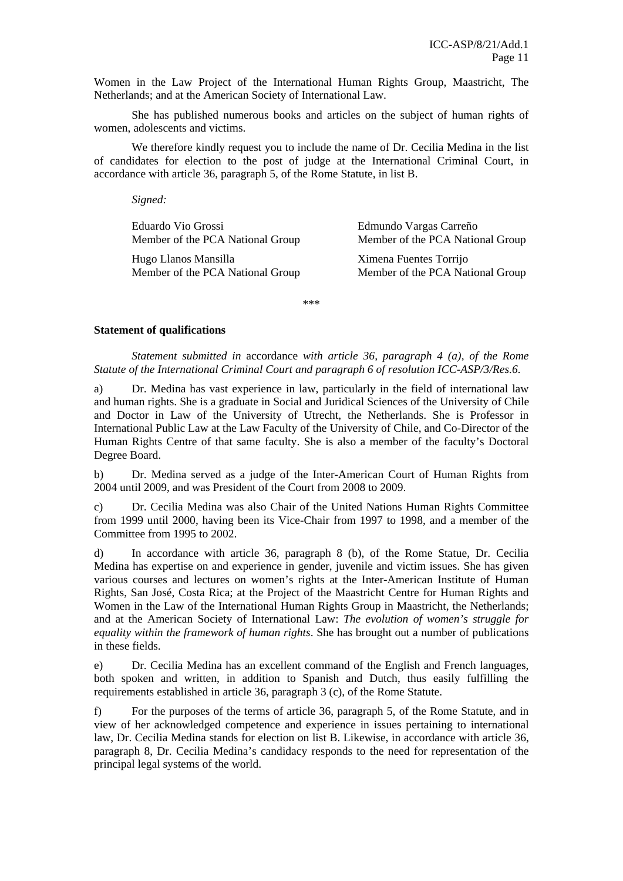Women in the Law Project of the International Human Rights Group, Maastricht, The Netherlands; and at the American Society of International Law.

 She has published numerous books and articles on the subject of human rights of women, adolescents and victims.

 We therefore kindly request you to include the name of Dr. Cecilia Medina in the list of candidates for election to the post of judge at the International Criminal Court, in accordance with article 36, paragraph 5, of the Rome Statute, in list B.

 *Signed:* 

| Eduardo Vio Grossi               | Edmundo Vargas Carreño           |
|----------------------------------|----------------------------------|
| Member of the PCA National Group | Member of the PCA National Group |
| Hugo Llanos Mansilla             | Ximena Fuentes Torrijo           |
| Member of the PCA National Group | Member of the PCA National Group |

\*\*\*

#### **Statement of qualifications**

*Statement submitted in* accordance *with article 36, paragraph 4 (a), of the Rome Statute of the International Criminal Court and paragraph 6 of resolution ICC-ASP/3/Res.6.* 

a) Dr. Medina has vast experience in law, particularly in the field of international law and human rights. She is a graduate in Social and Juridical Sciences of the University of Chile and Doctor in Law of the University of Utrecht, the Netherlands. She is Professor in International Public Law at the Law Faculty of the University of Chile, and Co-Director of the Human Rights Centre of that same faculty. She is also a member of the faculty's Doctoral Degree Board.

b) Dr. Medina served as a judge of the Inter-American Court of Human Rights from 2004 until 2009, and was President of the Court from 2008 to 2009.

c) Dr. Cecilia Medina was also Chair of the United Nations Human Rights Committee from 1999 until 2000, having been its Vice-Chair from 1997 to 1998, and a member of the Committee from 1995 to 2002.

d) In accordance with article 36, paragraph 8 (b), of the Rome Statue, Dr. Cecilia Medina has expertise on and experience in gender, juvenile and victim issues. She has given various courses and lectures on women's rights at the Inter-American Institute of Human Rights, San José, Costa Rica; at the Project of the Maastricht Centre for Human Rights and Women in the Law of the International Human Rights Group in Maastricht, the Netherlands; and at the American Society of International Law: *The evolution of women's struggle for equality within the framework of human rights*. She has brought out a number of publications in these fields.

e) Dr. Cecilia Medina has an excellent command of the English and French languages, both spoken and written, in addition to Spanish and Dutch, thus easily fulfilling the requirements established in article 36, paragraph 3 (c), of the Rome Statute.

f) For the purposes of the terms of article 36, paragraph 5, of the Rome Statute, and in view of her acknowledged competence and experience in issues pertaining to international law, Dr. Cecilia Medina stands for election on list B. Likewise, in accordance with article 36, paragraph 8, Dr. Cecilia Medina's candidacy responds to the need for representation of the principal legal systems of the world.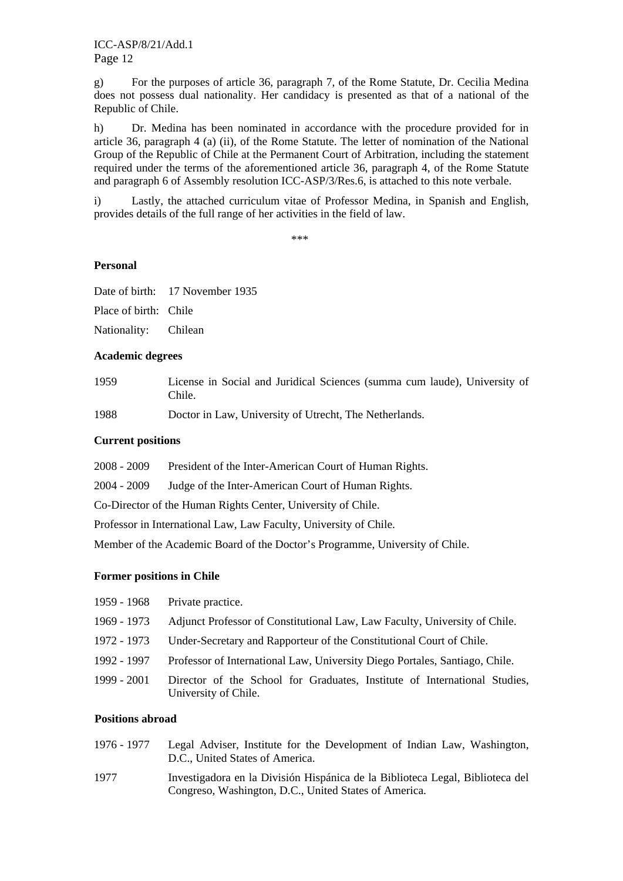g) For the purposes of article 36, paragraph 7, of the Rome Statute, Dr. Cecilia Medina does not possess dual nationality. Her candidacy is presented as that of a national of the Republic of Chile.

h) Dr. Medina has been nominated in accordance with the procedure provided for in article 36, paragraph 4 (a) (ii), of the Rome Statute. The letter of nomination of the National Group of the Republic of Chile at the Permanent Court of Arbitration, including the statement required under the terms of the aforementioned article 36, paragraph 4, of the Rome Statute and paragraph 6 of Assembly resolution ICC-ASP/3/Res.6, is attached to this note verbale.

i) Lastly, the attached curriculum vitae of Professor Medina, in Spanish and English, provides details of the full range of her activities in the field of law.

\*\*\*

# **Personal**

|                       | Date of birth: 17 November 1935 |
|-----------------------|---------------------------------|
| Place of birth: Chile |                                 |
| Nationality: Chilean  |                                 |

### **Academic degrees**

1959 License in Social and Juridical Sciences (summa cum laude), University of Chile.

1988 Doctor in Law, University of Utrecht, The Netherlands.

### **Current positions**

2008 - 2009 President of the Inter-American Court of Human Rights.

2004 - 2009 Judge of the Inter-American Court of Human Rights.

Co-Director of the Human Rights Center, University of Chile.

Professor in International Law, Law Faculty, University of Chile.

Member of the Academic Board of the Doctor's Programme, University of Chile.

# **Former positions in Chile**

| 1959 - 1968 | Private practice.                                                                                 |
|-------------|---------------------------------------------------------------------------------------------------|
| 1969 - 1973 | Adjunct Professor of Constitutional Law, Law Faculty, University of Chile.                        |
| 1972 - 1973 | Under-Secretary and Rapporteur of the Constitutional Court of Chile.                              |
| 1992 - 1997 | Professor of International Law, University Diego Portales, Santiago, Chile.                       |
| 1999 - 2001 | Director of the School for Graduates, Institute of International Studies,<br>University of Chile. |

# **Positions abroad**

| 1976 - 1977 | Legal Adviser, Institute for the Development of Indian Law, Washington,<br>D.C., United States of America.                             |
|-------------|----------------------------------------------------------------------------------------------------------------------------------------|
| 1977        | Investigadora en la División Hispánica de la Biblioteca Legal, Biblioteca del<br>Congreso, Washington, D.C., United States of America. |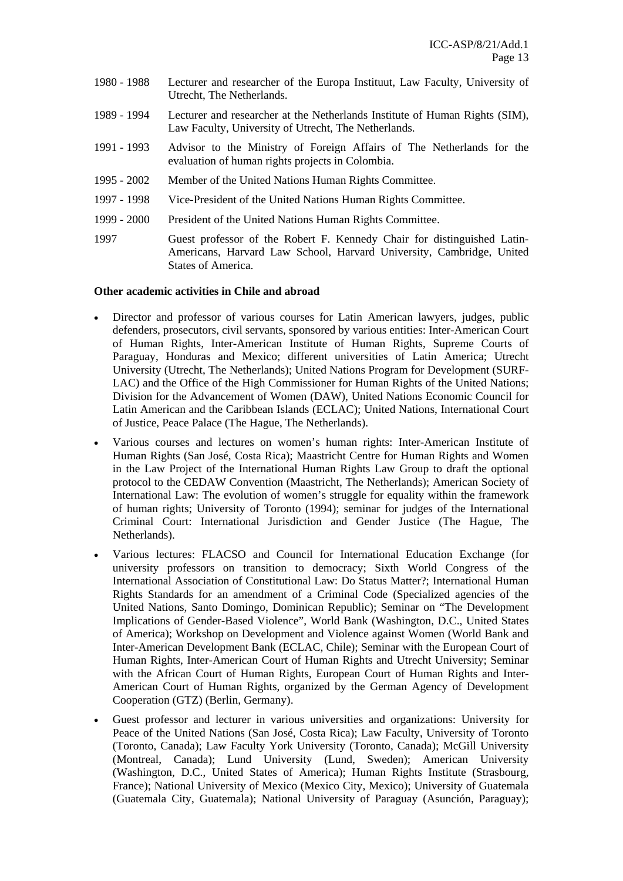- 1980 1988 Lecturer and researcher of the Europa Instituut, Law Faculty, University of Utrecht, The Netherlands.
- 1989 1994 Lecturer and researcher at the Netherlands Institute of Human Rights (SIM), Law Faculty, University of Utrecht, The Netherlands.
- 1991 1993 Advisor to the Ministry of Foreign Affairs of The Netherlands for the evaluation of human rights projects in Colombia.
- 1995 2002 Member of the United Nations Human Rights Committee.
- 1997 1998 Vice-President of the United Nations Human Rights Committee.
- 1999 2000 President of the United Nations Human Rights Committee.
- 1997 Guest professor of the Robert F. Kennedy Chair for distinguished Latin-Americans, Harvard Law School, Harvard University, Cambridge, United States of America.

#### **Other academic activities in Chile and abroad**

- Director and professor of various courses for Latin American lawyers, judges, public defenders, prosecutors, civil servants, sponsored by various entities: Inter-American Court of Human Rights, Inter-American Institute of Human Rights, Supreme Courts of Paraguay, Honduras and Mexico; different universities of Latin America; Utrecht University (Utrecht, The Netherlands); United Nations Program for Development (SURF-LAC) and the Office of the High Commissioner for Human Rights of the United Nations; Division for the Advancement of Women (DAW), United Nations Economic Council for Latin American and the Caribbean Islands (ECLAC); United Nations, International Court of Justice, Peace Palace (The Hague, The Netherlands).
- Various courses and lectures on women's human rights: Inter-American Institute of Human Rights (San José, Costa Rica); Maastricht Centre for Human Rights and Women in the Law Project of the International Human Rights Law Group to draft the optional protocol to the CEDAW Convention (Maastricht, The Netherlands); American Society of International Law: The evolution of women's struggle for equality within the framework of human rights; University of Toronto (1994); seminar for judges of the International Criminal Court: International Jurisdiction and Gender Justice (The Hague, The Netherlands).
- Various lectures: FLACSO and Council for International Education Exchange (for university professors on transition to democracy; Sixth World Congress of the International Association of Constitutional Law: Do Status Matter?; International Human Rights Standards for an amendment of a Criminal Code (Specialized agencies of the United Nations, Santo Domingo, Dominican Republic); Seminar on "The Development Implications of Gender-Based Violence", World Bank (Washington, D.C., United States of America); Workshop on Development and Violence against Women (World Bank and Inter-American Development Bank (ECLAC, Chile); Seminar with the European Court of Human Rights, Inter-American Court of Human Rights and Utrecht University; Seminar with the African Court of Human Rights, European Court of Human Rights and Inter-American Court of Human Rights, organized by the German Agency of Development Cooperation (GTZ) (Berlin, Germany).
- Guest professor and lecturer in various universities and organizations: University for Peace of the United Nations (San José, Costa Rica); Law Faculty, University of Toronto (Toronto, Canada); Law Faculty York University (Toronto, Canada); McGill University (Montreal, Canada); Lund University (Lund, Sweden); American University (Washington, D.C., United States of America); Human Rights Institute (Strasbourg, France); National University of Mexico (Mexico City, Mexico); University of Guatemala (Guatemala City, Guatemala); National University of Paraguay (Asunción, Paraguay);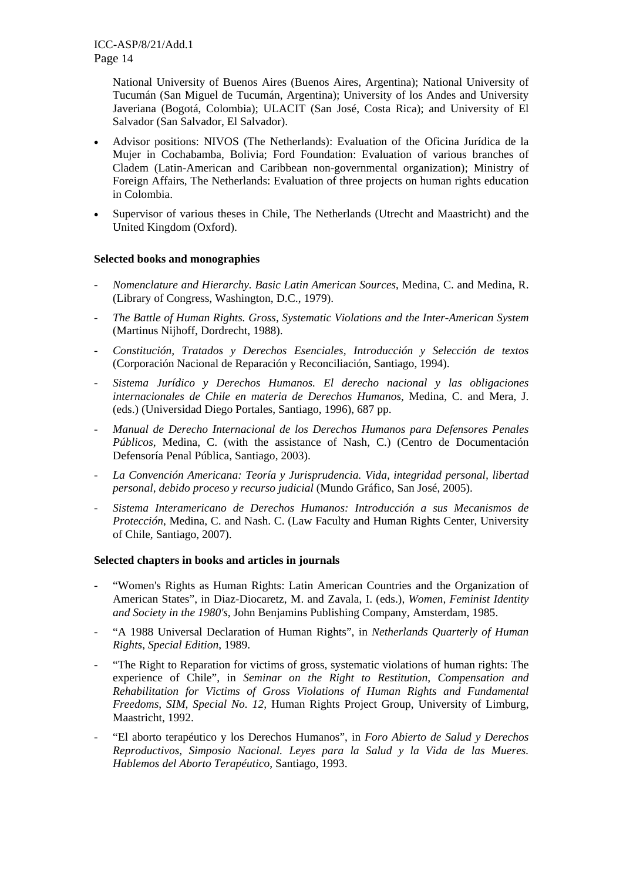National University of Buenos Aires (Buenos Aires, Argentina); National University of Tucumán (San Miguel de Tucumán, Argentina); University of los Andes and University Javeriana (Bogotá, Colombia); ULACIT (San José, Costa Rica); and University of El Salvador (San Salvador, El Salvador).

- Advisor positions: NIVOS (The Netherlands): Evaluation of the Oficina Jurídica de la Mujer in Cochabamba, Bolivia; Ford Foundation: Evaluation of various branches of Cladem (Latin-American and Caribbean non-governmental organization); Ministry of Foreign Affairs, The Netherlands: Evaluation of three projects on human rights education in Colombia.
- Supervisor of various theses in Chile, The Netherlands (Utrecht and Maastricht) and the United Kingdom (Oxford).

# **Selected books and monographies**

- *Nomenclature and Hierarchy. Basic Latin American Sources*, Medina, C. and Medina, R. (Library of Congress, Washington, D.C., 1979).
- *The Battle of Human Rights. Gross, Systematic Violations and the Inter-American System* (Martinus Nijhoff, Dordrecht, 1988).
- *Constitución, Tratados y Derechos Esenciales, Introducción y Selección de textos* (Corporación Nacional de Reparación y Reconciliación, Santiago, 1994).
- *Sistema Jurídico y Derechos Humanos. El derecho nacional y las obligaciones internacionales de Chile en materia de Derechos Humanos*, Medina, C. and Mera, J. (eds.) (Universidad Diego Portales, Santiago, 1996), 687 pp.
- *Manual de Derecho Internacional de los Derechos Humanos para Defensores Penales Públicos*, Medina, C. (with the assistance of Nash, C.) (Centro de Documentación Defensoría Penal Pública, Santiago, 2003).
- *La Convención Americana: Teoría y Jurisprudencia. Vida, integridad personal, libertad personal, debido proceso y recurso judicial* (Mundo Gráfico, San José, 2005).
- *Sistema Interamericano de Derechos Humanos: Introducción a sus Mecanismos de Protección*, Medina, C. and Nash. C. (Law Faculty and Human Rights Center, University of Chile, Santiago, 2007).

### **Selected chapters in books and articles in journals**

- "Women's Rights as Human Rights: Latin American Countries and the Organization of American States", in Diaz-Diocaretz, M. and Zavala, I. (eds.), *Women, Feminist Identity and Society in the 1980's*, John Benjamins Publishing Company, Amsterdam, 1985.
- "A 1988 Universal Declaration of Human Rights", in *Netherlands Quarterly of Human Rights*, *Special Edition*, 1989.
- "The Right to Reparation for victims of gross, systematic violations of human rights: The experience of Chile", in *Seminar on the Right to Restitution, Compensation and Rehabilitation for Victims of Gross Violations of Human Rights and Fundamental Freedoms*, *SIM, Special No. 12,* Human Rights Project Group, University of Limburg, Maastricht, 1992.
- "El aborto terapéutico y los Derechos Humanos", in *Foro Abierto de Salud y Derechos Reproductivos, Simposio Nacional. Leyes para la Salud y la Vida de las Mueres. Hablemos del Aborto Terapéutico*, Santiago, 1993.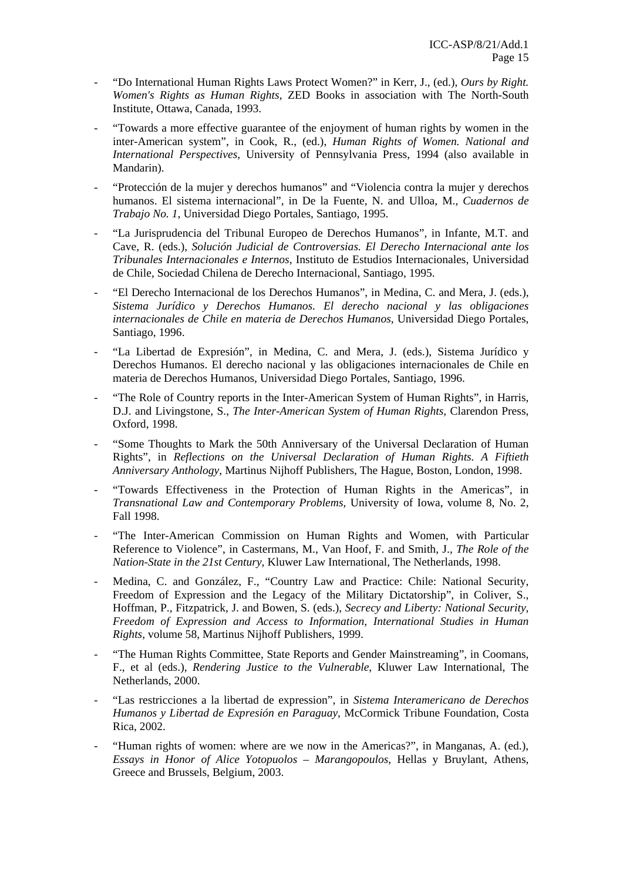- "Do International Human Rights Laws Protect Women?" in Kerr, J., (ed.), Ours by Right. *Women's Rights as Human Rights*, ZED Books in association with The North-South Institute, Ottawa, Canada, 1993.
- "Towards a more effective guarantee of the enjoyment of human rights by women in the inter-American system", in Cook, R., (ed.), *Human Rights of Women. National and International Perspectives,* University of Pennsylvania Press, 1994 (also available in Mandarin).
- "Protección de la mujer y derechos humanos" and "Violencia contra la mujer y derechos humanos. El sistema internacional", in De la Fuente, N. and Ulloa, M., *Cuadernos de Trabajo No. 1*, Universidad Diego Portales, Santiago, 1995.
- "La Jurisprudencia del Tribunal Europeo de Derechos Humanos", in Infante, M.T. and Cave, R. (eds.), *Solución Judicial de Controversias. El Derecho Internacional ante los Tribunales Internacionales e Internos*, Instituto de Estudios Internacionales, Universidad de Chile, Sociedad Chilena de Derecho Internacional, Santiago, 1995.
- "El Derecho Internacional de los Derechos Humanos", in Medina, C. and Mera, J. (eds.), *Sistema Jurídico y Derechos Humanos. El derecho nacional y las obligaciones internacionales de Chile en materia de Derechos Humanos*, Universidad Diego Portales, Santiago, 1996.
- "La Libertad de Expresión", in Medina, C. and Mera, J. (eds.), Sistema Jurídico y Derechos Humanos. El derecho nacional y las obligaciones internacionales de Chile en materia de Derechos Humanos, Universidad Diego Portales, Santiago, 1996.
- "The Role of Country reports in the Inter-American System of Human Rights", in Harris, D.J. and Livingstone, S., *The Inter-American System of Human Rights,* Clarendon Press, Oxford, 1998.
- "Some Thoughts to Mark the 50th Anniversary of the Universal Declaration of Human Rights", in *Reflections on the Universal Declaration of Human Rights. A Fiftieth Anniversary Anthology,* Martinus Nijhoff Publishers, The Hague, Boston, London, 1998.
- "Towards Effectiveness in the Protection of Human Rights in the Americas", in *Transnational Law and Contemporary Problems*, University of Iowa, volume 8, No. 2, Fall 1998.
- "The Inter-American Commission on Human Rights and Women, with Particular Reference to Violence", in Castermans, M., Van Hoof, F. and Smith, J., *The Role of the Nation-State in the 21st Century,* Kluwer Law International, The Netherlands, 1998.
- Medina, C. and González, F., "Country Law and Practice: Chile: National Security, Freedom of Expression and the Legacy of the Military Dictatorship", in Coliver, S., Hoffman, P., Fitzpatrick, J. and Bowen, S. (eds.), *Secrecy and Liberty: National Security, Freedom of Expression and Access to Information, International Studies in Human Rights*, volume 58, Martinus Nijhoff Publishers, 1999.
- "The Human Rights Committee, State Reports and Gender Mainstreaming", in Coomans, F., et al (eds.), *Rendering Justice to the Vulnerable*, Kluwer Law International, The Netherlands, 2000.
- "Las restricciones a la libertad de expression", in *Sistema Interamericano de Derechos Humanos y Libertad de Expresión en Paraguay*, McCormick Tribune Foundation, Costa Rica, 2002.
- "Human rights of women: where are we now in the Americas?", in Manganas, A. (ed.), *Essays in Honor of Alice Yotopuolos – Marangopoulos*, Hellas y Bruylant, Athens, Greece and Brussels, Belgium, 2003.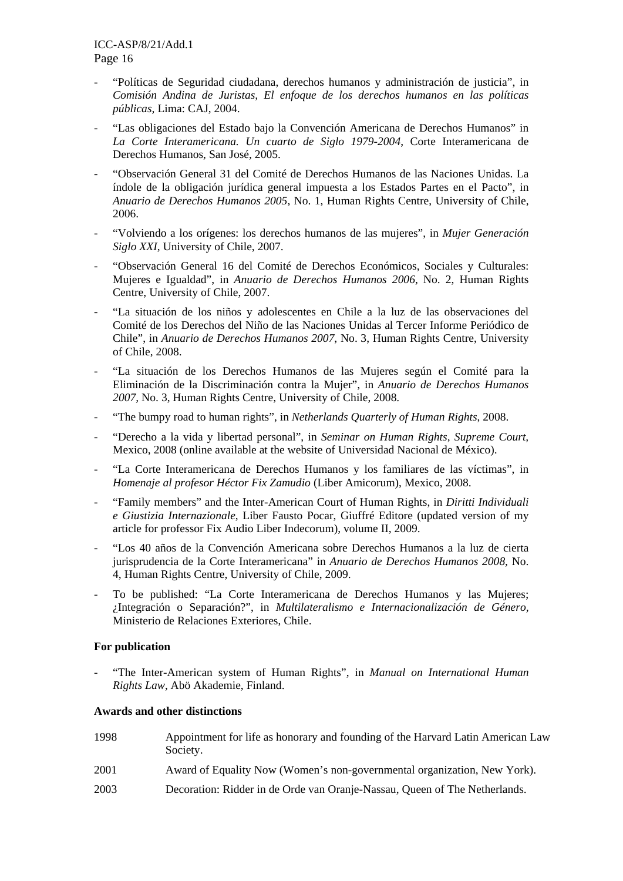- "Políticas de Seguridad ciudadana, derechos humanos y administración de justicia", in *Comisión Andina de Juristas, El enfoque de los derechos humanos en las políticas públicas,* Lima: CAJ, 2004.
- "Las obligaciones del Estado bajo la Convención Americana de Derechos Humanos" in *La Corte Interamericana. Un cuarto de Siglo 1979-2004*, Corte Interamericana de Derechos Humanos, San José, 2005.
- "Observación General 31 del Comité de Derechos Humanos de las Naciones Unidas. La índole de la obligación jurídica general impuesta a los Estados Partes en el Pacto", in *Anuario de Derechos Humanos 2005*, No. 1, Human Rights Centre, University of Chile, 2006.
- "Volviendo a los orígenes: los derechos humanos de las mujeres", in *Mujer Generación Siglo XXI*, University of Chile, 2007.
- "Observación General 16 del Comité de Derechos Económicos, Sociales y Culturales: Mujeres e Igualdad", in *Anuario de Derechos Humanos 2006*, No. 2, Human Rights Centre, University of Chile, 2007.
- "La situación de los niños y adolescentes en Chile a la luz de las observaciones del Comité de los Derechos del Niño de las Naciones Unidas al Tercer Informe Periódico de Chile", in *Anuario de Derechos Humanos 2007*, No. 3, Human Rights Centre, University of Chile, 2008.
- "La situación de los Derechos Humanos de las Mujeres según el Comité para la Eliminación de la Discriminación contra la Mujer", in *Anuario de Derechos Humanos 2007,* No. 3, Human Rights Centre, University of Chile, 2008.
- "The bumpy road to human rights", in *Netherlands Quarterly of Human Rights*, 2008.
- "Derecho a la vida y libertad personal", in *Seminar on Human Rights, Supreme Court,* Mexico, 2008 (online available at the website of Universidad Nacional de México).
- "La Corte Interamericana de Derechos Humanos y los familiares de las víctimas", in *Homenaje al profesor Héctor Fix Zamudio* (Liber Amicorum), Mexico, 2008.
- "Family members" and the Inter-American Court of Human Rights, in *Diritti Individuali e Giustizia Internazionale*, Liber Fausto Pocar, Giuffré Editore (updated version of my article for professor Fix Audio Liber Indecorum), volume II, 2009.
- "Los 40 años de la Convención Americana sobre Derechos Humanos a la luz de cierta jurisprudencia de la Corte Interamericana" in *Anuario de Derechos Humanos 2008*, No. 4, Human Rights Centre, University of Chile, 2009.
- To be published: "La Corte Interamericana de Derechos Humanos y las Mujeres; ¿Integración o Separación?", in *Multilateralismo e Internacionalización de Género,* Ministerio de Relaciones Exteriores, Chile.

### **For publication**

- "The Inter-American system of Human Rights", in *Manual on International Human Rights Law*, Abö Akademie, Finland.

# **Awards and other distinctions**

| 1998 | Appointment for life as honorary and founding of the Harvard Latin American Law<br>Society. |
|------|---------------------------------------------------------------------------------------------|
| 2001 | Award of Equality Now (Women's non-governmental organization, New York).                    |
| 2003 | Decoration: Ridder in de Orde van Oranje-Nassau, Queen of The Netherlands.                  |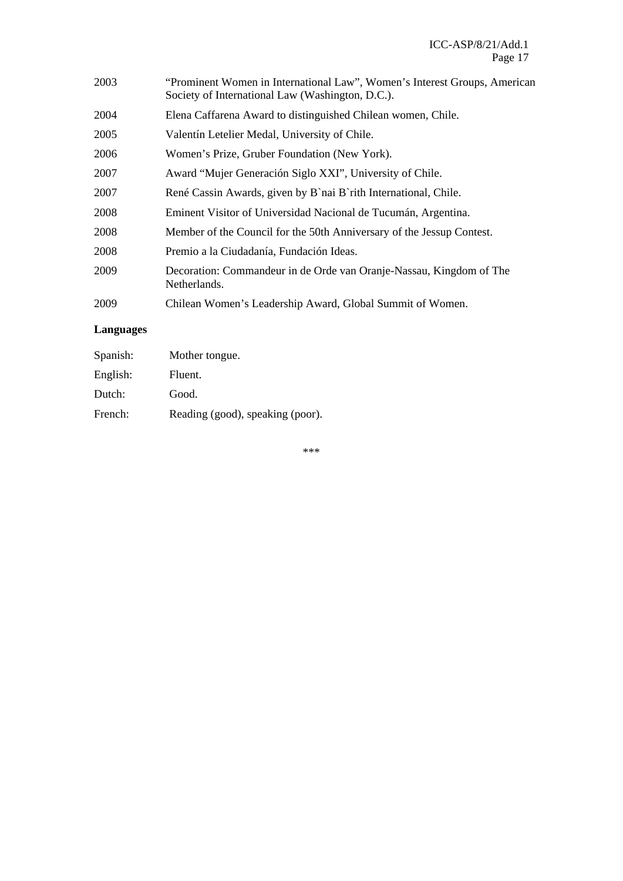| "Prominent Women in International Law", Women's Interest Groups, American<br>Society of International Law (Washington, D.C.). |
|-------------------------------------------------------------------------------------------------------------------------------|
| Elena Caffarena Award to distinguished Chilean women, Chile.                                                                  |
| Valentín Letelier Medal, University of Chile.                                                                                 |
| Women's Prize, Gruber Foundation (New York).                                                                                  |
| Award "Mujer Generación Siglo XXI", University of Chile.                                                                      |
| René Cassin Awards, given by B`nai B`rith International, Chile.                                                               |
| Eminent Visitor of Universidad Nacional de Tucumán, Argentina.                                                                |
| Member of the Council for the 50th Anniversary of the Jessup Contest.                                                         |
| Premio a la Ciudadanía, Fundación Ideas.                                                                                      |
| Decoration: Commandeur in de Orde van Oranje-Nassau, Kingdom of The<br>Netherlands.                                           |
| Chilean Women's Leadership Award, Global Summit of Women.                                                                     |
|                                                                                                                               |

# **Languages**

| Spanish: | Mother tongue.                   |
|----------|----------------------------------|
| English: | Fluent.                          |
| Dutch:   | Good.                            |
| French:  | Reading (good), speaking (poor). |

\*\*\*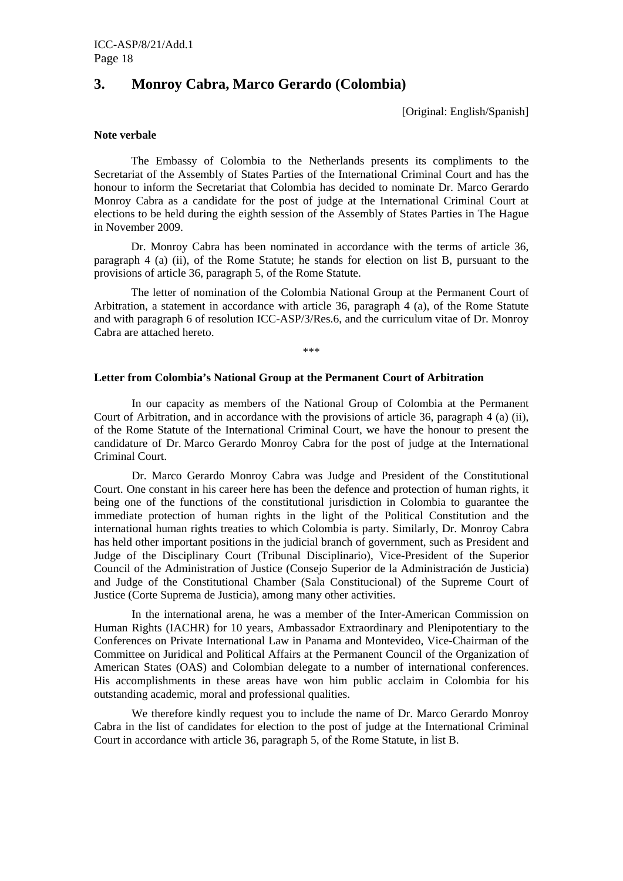# **3. Monroy Cabra, Marco Gerardo (Colombia)**

[Original: English/Spanish]

### **Note verbale**

The Embassy of Colombia to the Netherlands presents its compliments to the Secretariat of the Assembly of States Parties of the International Criminal Court and has the honour to inform the Secretariat that Colombia has decided to nominate Dr. Marco Gerardo Monroy Cabra as a candidate for the post of judge at the International Criminal Court at elections to be held during the eighth session of the Assembly of States Parties in The Hague in November 2009.

Dr. Monroy Cabra has been nominated in accordance with the terms of article 36, paragraph 4 (a) (ii), of the Rome Statute; he stands for election on list B, pursuant to the provisions of article 36, paragraph 5, of the Rome Statute.

The letter of nomination of the Colombia National Group at the Permanent Court of Arbitration, a statement in accordance with article 36, paragraph 4 (a), of the Rome Statute and with paragraph 6 of resolution ICC-ASP/3/Res.6, and the curriculum vitae of Dr. Monroy Cabra are attached hereto.

\*\*\*

#### **Letter from Colombia's National Group at the Permanent Court of Arbitration**

 In our capacity as members of the National Group of Colombia at the Permanent Court of Arbitration, and in accordance with the provisions of article 36, paragraph 4 (a) (ii), of the Rome Statute of the International Criminal Court, we have the honour to present the candidature of Dr. Marco Gerardo Monroy Cabra for the post of judge at the International Criminal Court.

 Dr. Marco Gerardo Monroy Cabra was Judge and President of the Constitutional Court. One constant in his career here has been the defence and protection of human rights, it being one of the functions of the constitutional jurisdiction in Colombia to guarantee the immediate protection of human rights in the light of the Political Constitution and the international human rights treaties to which Colombia is party. Similarly, Dr. Monroy Cabra has held other important positions in the judicial branch of government, such as President and Judge of the Disciplinary Court (Tribunal Disciplinario), Vice-President of the Superior Council of the Administration of Justice (Consejo Superior de la Administración de Justicia) and Judge of the Constitutional Chamber (Sala Constitucional) of the Supreme Court of Justice (Corte Suprema de Justicia), among many other activities.

 In the international arena, he was a member of the Inter-American Commission on Human Rights (IACHR) for 10 years, Ambassador Extraordinary and Plenipotentiary to the Conferences on Private International Law in Panama and Montevideo, Vice-Chairman of the Committee on Juridical and Political Affairs at the Permanent Council of the Organization of American States (OAS) and Colombian delegate to a number of international conferences. His accomplishments in these areas have won him public acclaim in Colombia for his outstanding academic, moral and professional qualities.

We therefore kindly request you to include the name of Dr. Marco Gerardo Monroy Cabra in the list of candidates for election to the post of judge at the International Criminal Court in accordance with article 36, paragraph 5, of the Rome Statute, in list B.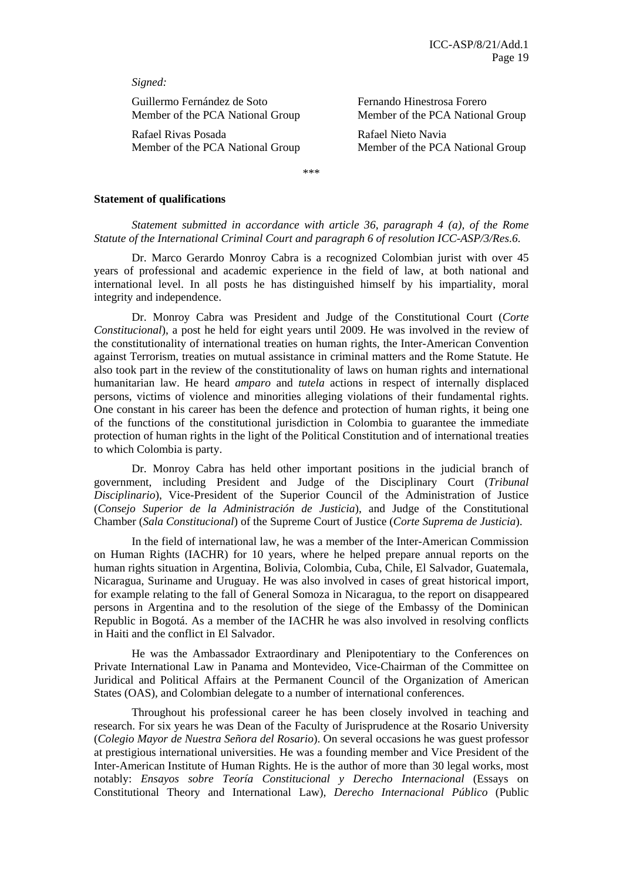*Signed:* 

Guillermo Fernández de Soto Fernando Hinestrosa Forero Member of the PCA National Group Member of the PCA National Group

Rafael Rivas Posada Rafael Nieto Navia

Member of the PCA National Group Member of the PCA National Group

\*\*\*

#### **Statement of qualifications**

*Statement submitted in accordance with article 36, paragraph 4 (a), of the Rome Statute of the International Criminal Court and paragraph 6 of resolution ICC-ASP/3/Res.6.* 

Dr. Marco Gerardo Monroy Cabra is a recognized Colombian jurist with over 45 years of professional and academic experience in the field of law, at both national and international level. In all posts he has distinguished himself by his impartiality, moral integrity and independence.

 Dr. Monroy Cabra was President and Judge of the Constitutional Court (*Corte Constitucional*), a post he held for eight years until 2009. He was involved in the review of the constitutionality of international treaties on human rights, the Inter-American Convention against Terrorism, treaties on mutual assistance in criminal matters and the Rome Statute. He also took part in the review of the constitutionality of laws on human rights and international humanitarian law. He heard *amparo* and *tutela* actions in respect of internally displaced persons, victims of violence and minorities alleging violations of their fundamental rights. One constant in his career has been the defence and protection of human rights, it being one of the functions of the constitutional jurisdiction in Colombia to guarantee the immediate protection of human rights in the light of the Political Constitution and of international treaties to which Colombia is party.

 Dr. Monroy Cabra has held other important positions in the judicial branch of government, including President and Judge of the Disciplinary Court (*Tribunal Disciplinario*), Vice-President of the Superior Council of the Administration of Justice (*Consejo Superior de la Administración de Justicia*), and Judge of the Constitutional Chamber (*Sala Constitucional*) of the Supreme Court of Justice (*Corte Suprema de Justicia*).

 In the field of international law, he was a member of the Inter-American Commission on Human Rights (IACHR) for 10 years, where he helped prepare annual reports on the human rights situation in Argentina, Bolivia, Colombia, Cuba, Chile, El Salvador, Guatemala, Nicaragua, Suriname and Uruguay. He was also involved in cases of great historical import, for example relating to the fall of General Somoza in Nicaragua, to the report on disappeared persons in Argentina and to the resolution of the siege of the Embassy of the Dominican Republic in Bogotá. As a member of the IACHR he was also involved in resolving conflicts in Haiti and the conflict in El Salvador.

 He was the Ambassador Extraordinary and Plenipotentiary to the Conferences on Private International Law in Panama and Montevideo, Vice-Chairman of the Committee on Juridical and Political Affairs at the Permanent Council of the Organization of American States (OAS), and Colombian delegate to a number of international conferences.

 Throughout his professional career he has been closely involved in teaching and research. For six years he was Dean of the Faculty of Jurisprudence at the Rosario University (*Colegio Mayor de Nuestra Señora del Rosario*). On several occasions he was guest professor at prestigious international universities. He was a founding member and Vice President of the Inter-American Institute of Human Rights. He is the author of more than 30 legal works, most notably: *Ensayos sobre Teoría Constitucional y Derecho Internacional* (Essays on Constitutional Theory and International Law), *Derecho Internacional Público* (Public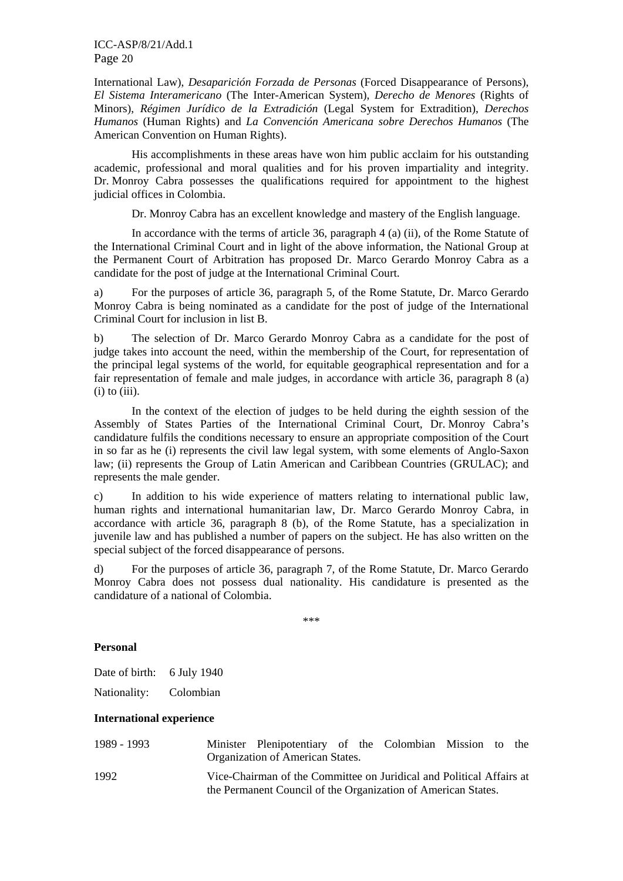International Law), *Desaparición Forzada de Personas* (Forced Disappearance of Persons), *El Sistema Interamericano* (The Inter-American System), *Derecho de Menores* (Rights of Minors), *Régimen Jurídico de la Extradición* (Legal System for Extradition), *Derechos Humanos* (Human Rights) and *La Convención Americana sobre Derechos Humanos* (The American Convention on Human Rights).

 His accomplishments in these areas have won him public acclaim for his outstanding academic, professional and moral qualities and for his proven impartiality and integrity. Dr. Monroy Cabra possesses the qualifications required for appointment to the highest judicial offices in Colombia.

Dr. Monroy Cabra has an excellent knowledge and mastery of the English language.

 In accordance with the terms of article 36, paragraph 4 (a) (ii), of the Rome Statute of the International Criminal Court and in light of the above information, the National Group at the Permanent Court of Arbitration has proposed Dr. Marco Gerardo Monroy Cabra as a candidate for the post of judge at the International Criminal Court.

a) For the purposes of article 36, paragraph 5, of the Rome Statute, Dr. Marco Gerardo Monroy Cabra is being nominated as a candidate for the post of judge of the International Criminal Court for inclusion in list B.

b) The selection of Dr. Marco Gerardo Monroy Cabra as a candidate for the post of judge takes into account the need, within the membership of the Court, for representation of the principal legal systems of the world, for equitable geographical representation and for a fair representation of female and male judges, in accordance with article 36, paragraph 8 (a)  $(i)$  to  $(iii)$ .

 In the context of the election of judges to be held during the eighth session of the Assembly of States Parties of the International Criminal Court, Dr. Monroy Cabra's candidature fulfils the conditions necessary to ensure an appropriate composition of the Court in so far as he (i) represents the civil law legal system, with some elements of Anglo-Saxon law; (ii) represents the Group of Latin American and Caribbean Countries (GRULAC); and represents the male gender.

c) In addition to his wide experience of matters relating to international public law, human rights and international humanitarian law, Dr. Marco Gerardo Monroy Cabra, in accordance with article 36, paragraph 8 (b), of the Rome Statute, has a specialization in juvenile law and has published a number of papers on the subject. He has also written on the special subject of the forced disappearance of persons.

d) For the purposes of article 36, paragraph 7, of the Rome Statute, Dr. Marco Gerardo Monroy Cabra does not possess dual nationality. His candidature is presented as the candidature of a national of Colombia.

\*\*\*

### **Personal**

| Date of birth: | 6 July 1940 |
|----------------|-------------|
| Nationality:   | Colombian   |

#### **International experience**

| 1989 - 1993 | Minister Plenipotentiary of the Colombian Mission to the<br>Organization of American States.                                          |  |  |  |
|-------------|---------------------------------------------------------------------------------------------------------------------------------------|--|--|--|
| 1992        | Vice-Chairman of the Committee on Juridical and Political Affairs at<br>the Permanent Council of the Organization of American States. |  |  |  |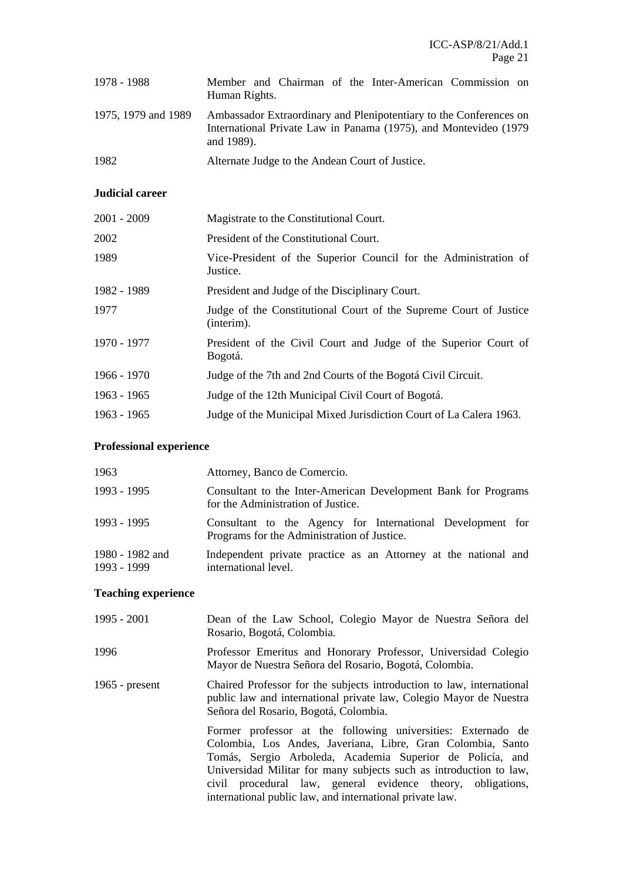| 1978 - 1988         | Member and Chairman of the Inter-American Commission on<br>Human Rights.                                                                              |
|---------------------|-------------------------------------------------------------------------------------------------------------------------------------------------------|
| 1975, 1979 and 1989 | Ambassador Extraordinary and Plenipotentiary to the Conferences on<br>International Private Law in Panama (1975), and Montevideo (1979)<br>and 1989). |
| 1982                | Alternate Judge to the Andean Court of Justice.                                                                                                       |

# **Judicial career**

| 2001 - 2009 | Magistrate to the Constitutional Court.                                         |
|-------------|---------------------------------------------------------------------------------|
| 2002        | President of the Constitutional Court.                                          |
| 1989        | Vice-President of the Superior Council for the Administration of<br>Justice.    |
| 1982 - 1989 | President and Judge of the Disciplinary Court.                                  |
| 1977        | Judge of the Constitutional Court of the Supreme Court of Justice<br>(interim). |
| 1970 - 1977 | President of the Civil Court and Judge of the Superior Court of<br>Bogotá.      |
| 1966 - 1970 | Judge of the 7th and 2nd Courts of the Bogotá Civil Circuit.                    |
| 1963 - 1965 | Judge of the 12th Municipal Civil Court of Bogotá.                              |
| 1963 - 1965 | Judge of the Municipal Mixed Jurisdiction Court of La Calera 1963.              |
|             |                                                                                 |

# **Professional experience**

| 1963                           | Attorney, Banco de Comercio.                                                                              |
|--------------------------------|-----------------------------------------------------------------------------------------------------------|
| 1993 - 1995                    | Consultant to the Inter-American Development Bank for Programs<br>for the Administration of Justice.      |
| 1993 - 1995                    | Consultant to the Agency for International Development for<br>Programs for the Administration of Justice. |
| 1980 - 1982 and<br>1993 - 1999 | Independent private practice as an Attorney at the national and<br>international level.                   |

# **Teaching experience**

| 1995 - 2001      | Dean of the Law School, Colegio Mayor de Nuestra Señora del<br>Rosario, Bogotá, Colombia.                                                                                                                                                                                                                                                                                                 |
|------------------|-------------------------------------------------------------------------------------------------------------------------------------------------------------------------------------------------------------------------------------------------------------------------------------------------------------------------------------------------------------------------------------------|
| 1996             | Professor Emeritus and Honorary Professor, Universidad Colegio<br>Mayor de Nuestra Señora del Rosario, Bogotá, Colombia.                                                                                                                                                                                                                                                                  |
| 1965 - $present$ | Chaired Professor for the subjects introduction to law, international<br>public law and international private law, Colegio Mayor de Nuestra<br>Señora del Rosario, Bogotá, Colombia.                                                                                                                                                                                                      |
|                  | Former professor at the following universities: Externado de<br>Colombia, Los Andes, Javeriana, Libre, Gran Colombia, Santo<br>Tomás, Sergio Arboleda, Academia Superior de Policía, and<br>Universidad Militar for many subjects such as introduction to law,<br>civil procedural law, general evidence theory, obligations,<br>international public law, and international private law. |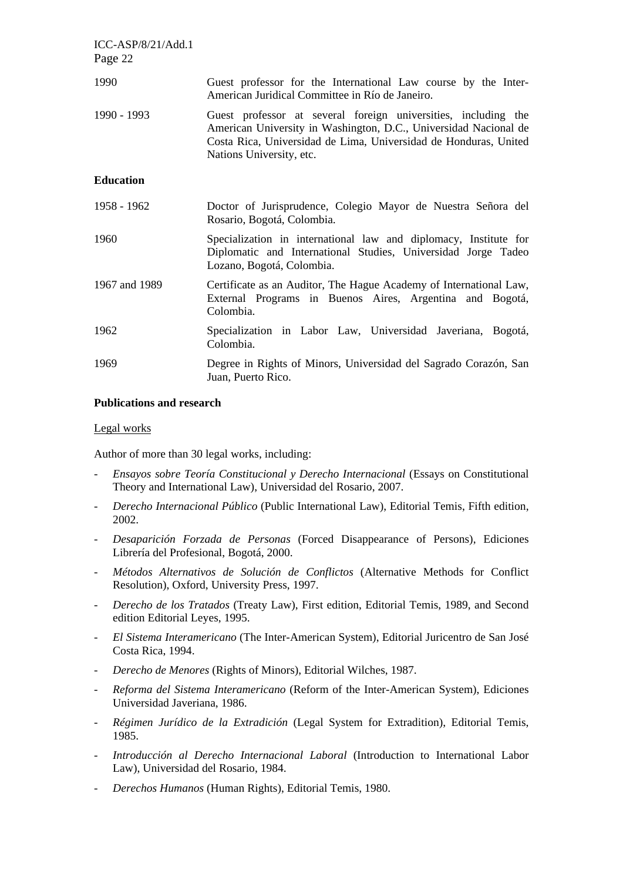| $ICC-ASP/8/21/Add.1$<br>Page 22 |                                                                                                                                                                                                                                    |
|---------------------------------|------------------------------------------------------------------------------------------------------------------------------------------------------------------------------------------------------------------------------------|
| 1990                            | Guest professor for the International Law course by the Inter-<br>American Juridical Committee in Río de Janeiro.                                                                                                                  |
| 1990 - 1993                     | Guest professor at several foreign universities, including the<br>American University in Washington, D.C., Universidad Nacional de<br>Costa Rica, Universidad de Lima, Universidad de Honduras, United<br>Nations University, etc. |
| <b>Education</b>                |                                                                                                                                                                                                                                    |
| 1958 - 1962                     | Doctor of Jurisprudence, Colegio Mayor de Nuestra Señora del<br>Rosario, Bogotá, Colombia.                                                                                                                                         |
| 1960                            | Specialization in international law and diplomacy, Institute for<br>Diplomatic and International Studies, Universidad Jorge Tadeo<br>Lozano, Bogotá, Colombia.                                                                     |
| 1967 and 1989                   | Certificate as an Auditor, The Hague Academy of International Law,<br>External Programs in Buenos Aires, Argentina and Bogotá,<br>Colombia.                                                                                        |
| 1962                            | Specialization in Labor Law, Universidad Javeriana, Bogotá,<br>Colombia.                                                                                                                                                           |
| 1969                            | Degree in Rights of Minors, Universidad del Sagrado Corazón, San<br>Juan, Puerto Rico.                                                                                                                                             |

#### **Publications and research**

#### Legal works

Author of more than 30 legal works, including:

- *Ensayos sobre Teoría Constitucional y Derecho Internacional* (Essays on Constitutional Theory and International Law), Universidad del Rosario, 2007.
- *Derecho Internacional Público* (Public International Law), Editorial Temis, Fifth edition, 2002.
- *Desaparición Forzada de Personas* (Forced Disappearance of Persons), Ediciones Librería del Profesional, Bogotá, 2000.
- *Métodos Alternativos de Solución de Conflictos* (Alternative Methods for Conflict Resolution), Oxford, University Press, 1997.
- *Derecho de los Tratados* (Treaty Law), First edition, Editorial Temis, 1989, and Second edition Editorial Leyes, 1995.
- *El Sistema Interamericano* (The Inter-American System), Editorial Juricentro de San José Costa Rica, 1994.
- *Derecho de Menores* (Rights of Minors), Editorial Wilches, 1987.
- *Reforma del Sistema Interamericano* (Reform of the Inter-American System), Ediciones Universidad Javeriana, 1986.
- *Régimen Jurídico de la Extradición* (Legal System for Extradition), Editorial Temis, 1985.
- *Introducción al Derecho Internacional Laboral* (Introduction to International Labor Law), Universidad del Rosario, 1984.
- *Derechos Humanos* (Human Rights), Editorial Temis, 1980.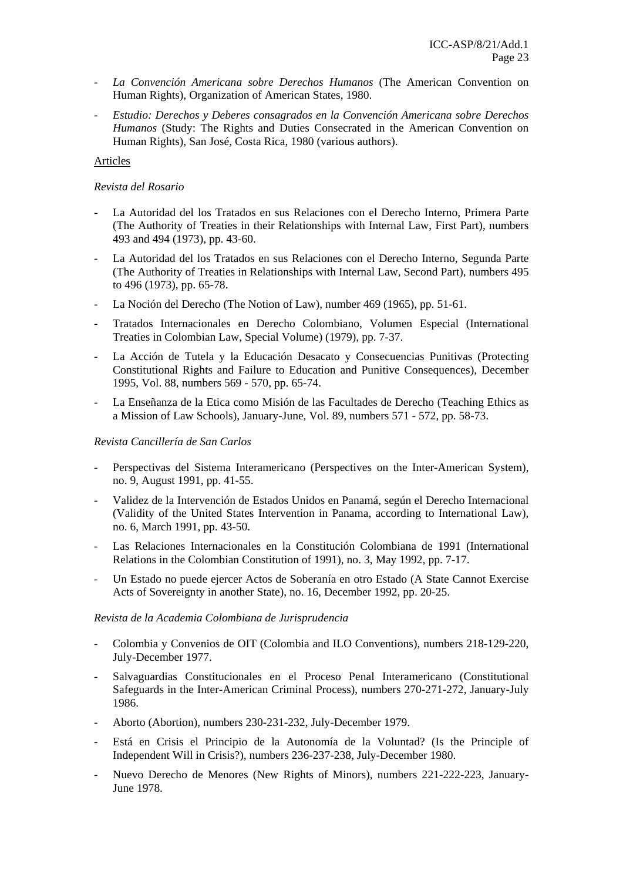- *La Convención Americana sobre Derechos Humanos* (The American Convention on Human Rights), Organization of American States, 1980.
- *Estudio: Derechos y Deberes consagrados en la Convención Americana sobre Derechos Humanos* (Study: The Rights and Duties Consecrated in the American Convention on Human Rights), San José, Costa Rica, 1980 (various authors).

#### Articles

#### *Revista del Rosario*

- La Autoridad del los Tratados en sus Relaciones con el Derecho Interno, Primera Parte (The Authority of Treaties in their Relationships with Internal Law, First Part), numbers 493 and 494 (1973), pp. 43-60.
- La Autoridad del los Tratados en sus Relaciones con el Derecho Interno, Segunda Parte (The Authority of Treaties in Relationships with Internal Law, Second Part), numbers 495 to 496 (1973), pp. 65-78.
- La Noción del Derecho (The Notion of Law), number 469 (1965), pp. 51-61.
- Tratados Internacionales en Derecho Colombiano, Volumen Especial (International Treaties in Colombian Law, Special Volume) (1979), pp. 7-37.
- La Acción de Tutela y la Educación Desacato y Consecuencias Punitivas (Protecting Constitutional Rights and Failure to Education and Punitive Consequences), December 1995, Vol. 88, numbers 569 - 570, pp. 65-74.
- La Enseñanza de la Etica como Misión de las Facultades de Derecho (Teaching Ethics as a Mission of Law Schools), January-June, Vol. 89, numbers 571 - 572, pp. 58-73.

#### *Revista Cancillería de San Carlos*

- Perspectivas del Sistema Interamericano (Perspectives on the Inter-American System), no. 9, August 1991, pp. 41-55.
- Validez de la Intervención de Estados Unidos en Panamá, según el Derecho Internacional (Validity of the United States Intervention in Panama, according to International Law), no. 6, March 1991, pp. 43-50.
- Las Relaciones Internacionales en la Constitución Colombiana de 1991 (International Relations in the Colombian Constitution of 1991), no. 3, May 1992, pp. 7-17.
- Un Estado no puede ejercer Actos de Soberanía en otro Estado (A State Cannot Exercise Acts of Sovereignty in another State), no. 16, December 1992, pp. 20-25.

#### *Revista de la Academia Colombiana de Jurisprudencia*

- Colombia y Convenios de OIT (Colombia and ILO Conventions), numbers 218-129-220, July-December 1977.
- Salvaguardias Constitucionales en el Proceso Penal Interamericano (Constitutional Safeguards in the Inter-American Criminal Process), numbers 270-271-272, January-July 1986.
- Aborto (Abortion), numbers 230-231-232, July-December 1979.
- Está en Crisis el Principio de la Autonomía de la Voluntad? (Is the Principle of Independent Will in Crisis?), numbers 236-237-238, July-December 1980.
- Nuevo Derecho de Menores (New Rights of Minors), numbers 221-222-223, January-June 1978.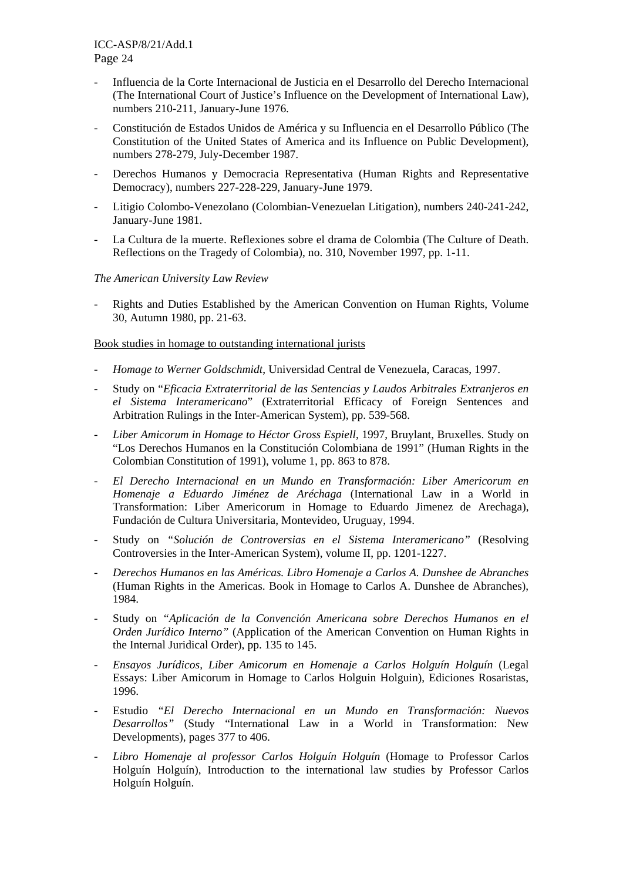- Influencia de la Corte Internacional de Justicia en el Desarrollo del Derecho Internacional (The International Court of Justice's Influence on the Development of International Law), numbers 210-211, January-June 1976.
- Constitución de Estados Unidos de América y su Influencia en el Desarrollo Público (The Constitution of the United States of America and its Influence on Public Development), numbers 278-279, July-December 1987.
- Derechos Humanos y Democracia Representativa (Human Rights and Representative Democracy), numbers 227-228-229, January-June 1979.
- Litigio Colombo-Venezolano (Colombian-Venezuelan Litigation), numbers 240-241-242, January-June 1981.
- La Cultura de la muerte. Reflexiones sobre el drama de Colombia (The Culture of Death. Reflections on the Tragedy of Colombia), no. 310, November 1997, pp. 1-11.

### *The American University Law Review*

- Rights and Duties Established by the American Convention on Human Rights, Volume 30, Autumn 1980, pp. 21-63.

#### Book studies in homage to outstanding international jurists

- *Homage to Werner Goldschmidt*, Universidad Central de Venezuela, Caracas, 1997.
- Study on "*Eficacia Extraterritorial de las Sentencias y Laudos Arbitrales Extranjeros en el Sistema Interamericano*" (Extraterritorial Efficacy of Foreign Sentences and Arbitration Rulings in the Inter-American System), pp. 539-568.
- Liber Amicorum in Homage to Héctor Gross Espiell, 1997, Bruylant, Bruxelles. Study on "Los Derechos Humanos en la Constitución Colombiana de 1991" (Human Rights in the Colombian Constitution of 1991), volume 1, pp. 863 to 878.
- *El Derecho Internacional en un Mundo en Transformación: Liber Americorum en Homenaje a Eduardo Jiménez de Aréchaga* (International Law in a World in Transformation: Liber Americorum in Homage to Eduardo Jimenez de Arechaga), Fundación de Cultura Universitaria, Montevideo, Uruguay, 1994.
- Study on *"Solución de Controversias en el Sistema Interamericano"* (Resolving Controversies in the Inter-American System), volume II, pp. 1201-1227.
- *Derechos Humanos en las Américas. Libro Homenaje a Carlos A. Dunshee de Abranches* (Human Rights in the Americas. Book in Homage to Carlos A. Dunshee de Abranches), 1984.
- Study on *"Aplicación de la Convención Americana sobre Derechos Humanos en el Orden Jurídico Interno"* (Application of the American Convention on Human Rights in the Internal Juridical Order), pp. 135 to 145.
- *Ensayos Jurídicos, Liber Amicorum en Homenaje a Carlos Holguín Holguín* (Legal Essays: Liber Amicorum in Homage to Carlos Holguin Holguin), Ediciones Rosaristas, 1996.
- Estudio *"El Derecho Internacional en un Mundo en Transformación: Nuevos Desarrollos"* (Study "International Law in a World in Transformation: New Developments), pages 377 to 406.
- *Libro Homenaje al professor Carlos Holguín Holguín* (Homage to Professor Carlos Holguín Holguín), Introduction to the international law studies by Professor Carlos Holguín Holguín.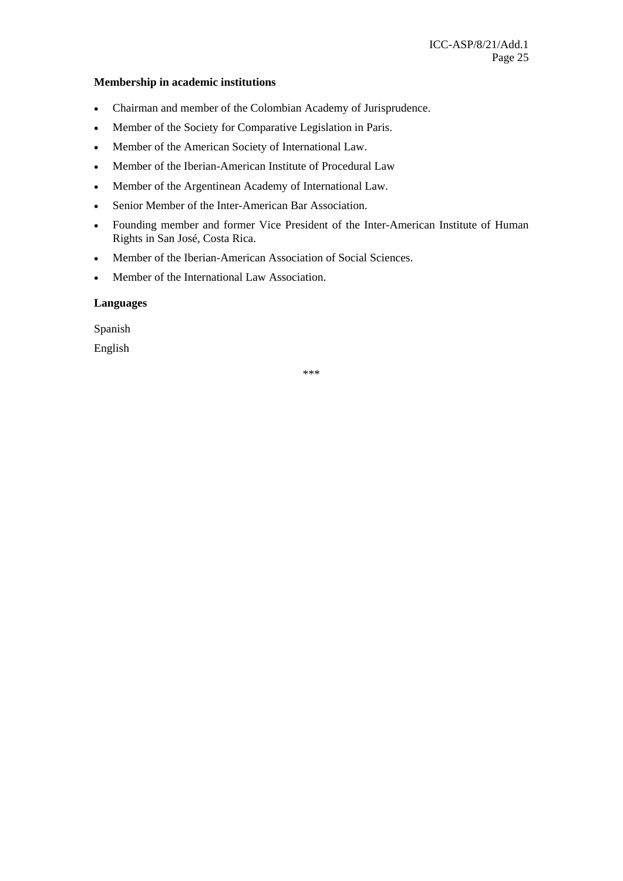#### **Membership in academic institutions**

- Chairman and member of the Colombian Academy of Jurisprudence.
- Member of the Society for Comparative Legislation in Paris.
- Member of the American Society of International Law.
- Member of the Iberian-American Institute of Procedural Law
- Member of the Argentinean Academy of International Law.
- Senior Member of the Inter-American Bar Association.
- Founding member and former Vice President of the Inter-American Institute of Human Rights in San José, Costa Rica.
- Member of the Iberian-American Association of Social Sciences.
- Member of the International Law Association.

### **Languages**

Spanish

English

\*\*\*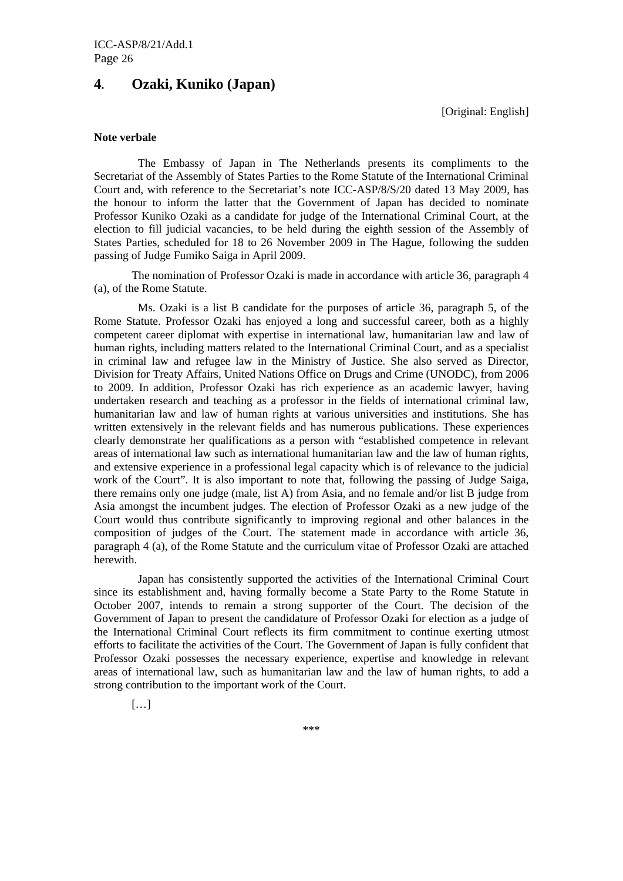# **4. Ozaki, Kuniko (Japan)**

[Original: English]

#### **Note verbale**

The Embassy of Japan in The Netherlands presents its compliments to the Secretariat of the Assembly of States Parties to the Rome Statute of the International Criminal Court and, with reference to the Secretariat's note ICC-ASP/8/S/20 dated 13 May 2009, has the honour to inform the latter that the Government of Japan has decided to nominate Professor Kuniko Ozaki as a candidate for judge of the International Criminal Court, at the election to fill judicial vacancies, to be held during the eighth session of the Assembly of States Parties, scheduled for 18 to 26 November 2009 in The Hague, following the sudden passing of Judge Fumiko Saiga in April 2009.

 The nomination of Professor Ozaki is made in accordance with article 36, paragraph 4 (a), of the Rome Statute.

Ms. Ozaki is a list B candidate for the purposes of article 36, paragraph 5, of the Rome Statute. Professor Ozaki has enjoyed a long and successful career, both as a highly competent career diplomat with expertise in international law, humanitarian law and law of human rights, including matters related to the International Criminal Court, and as a specialist in criminal law and refugee law in the Ministry of Justice. She also served as Director, Division for Treaty Affairs, United Nations Office on Drugs and Crime (UNODC), from 2006 to 2009. In addition, Professor Ozaki has rich experience as an academic lawyer, having undertaken research and teaching as a professor in the fields of international criminal law, humanitarian law and law of human rights at various universities and institutions. She has written extensively in the relevant fields and has numerous publications. These experiences clearly demonstrate her qualifications as a person with "established competence in relevant areas of international law such as international humanitarian law and the law of human rights, and extensive experience in a professional legal capacity which is of relevance to the judicial work of the Court". It is also important to note that, following the passing of Judge Saiga, there remains only one judge (male, list A) from Asia, and no female and/or list B judge from Asia amongst the incumbent judges. The election of Professor Ozaki as a new judge of the Court would thus contribute significantly to improving regional and other balances in the composition of judges of the Court. The statement made in accordance with article 36, paragraph 4 (a), of the Rome Statute and the curriculum vitae of Professor Ozaki are attached herewith.

Japan has consistently supported the activities of the International Criminal Court since its establishment and, having formally become a State Party to the Rome Statute in October 2007, intends to remain a strong supporter of the Court. The decision of the Government of Japan to present the candidature of Professor Ozaki for election as a judge of the International Criminal Court reflects its firm commitment to continue exerting utmost efforts to facilitate the activities of the Court. The Government of Japan is fully confident that Professor Ozaki possesses the necessary experience, expertise and knowledge in relevant areas of international law, such as humanitarian law and the law of human rights, to add a strong contribution to the important work of the Court.

[…]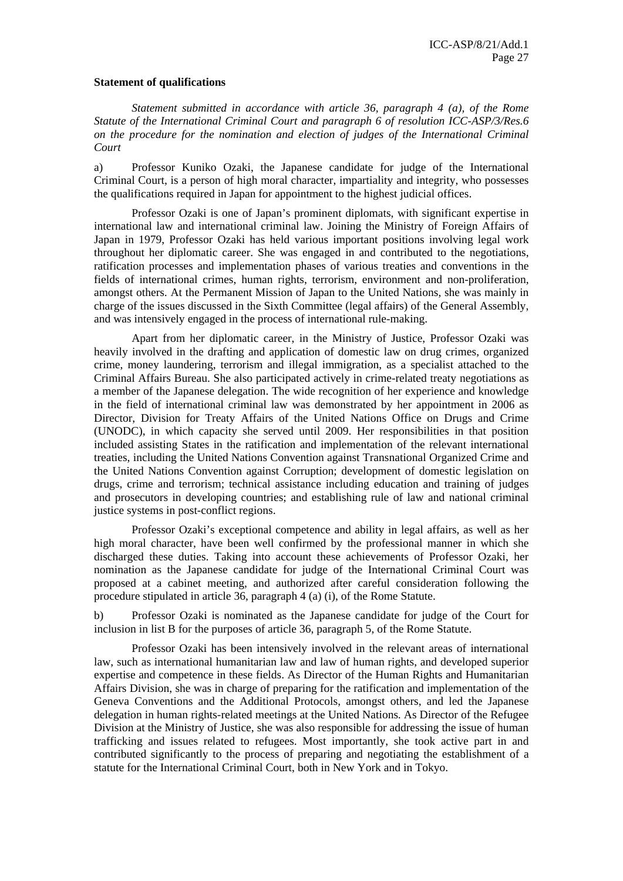#### **Statement of qualifications**

*Statement submitted in accordance with article 36, paragraph 4 (a), of the Rome Statute of the International Criminal Court and paragraph 6 of resolution ICC-ASP/3/Res.6 on the procedure for the nomination and election of judges of the International Criminal Court* 

a) Professor Kuniko Ozaki, the Japanese candidate for judge of the International Criminal Court, is a person of high moral character, impartiality and integrity, who possesses the qualifications required in Japan for appointment to the highest judicial offices.

 Professor Ozaki is one of Japan's prominent diplomats, with significant expertise in international law and international criminal law. Joining the Ministry of Foreign Affairs of Japan in 1979, Professor Ozaki has held various important positions involving legal work throughout her diplomatic career. She was engaged in and contributed to the negotiations, ratification processes and implementation phases of various treaties and conventions in the fields of international crimes, human rights, terrorism, environment and non-proliferation, amongst others. At the Permanent Mission of Japan to the United Nations, she was mainly in charge of the issues discussed in the Sixth Committee (legal affairs) of the General Assembly, and was intensively engaged in the process of international rule-making.

 Apart from her diplomatic career, in the Ministry of Justice, Professor Ozaki was heavily involved in the drafting and application of domestic law on drug crimes, organized crime, money laundering, terrorism and illegal immigration, as a specialist attached to the Criminal Affairs Bureau. She also participated actively in crime-related treaty negotiations as a member of the Japanese delegation. The wide recognition of her experience and knowledge in the field of international criminal law was demonstrated by her appointment in 2006 as Director, Division for Treaty Affairs of the United Nations Office on Drugs and Crime (UNODC), in which capacity she served until 2009. Her responsibilities in that position included assisting States in the ratification and implementation of the relevant international treaties, including the United Nations Convention against Transnational Organized Crime and the United Nations Convention against Corruption; development of domestic legislation on drugs, crime and terrorism; technical assistance including education and training of judges and prosecutors in developing countries; and establishing rule of law and national criminal justice systems in post-conflict regions.

 Professor Ozaki's exceptional competence and ability in legal affairs, as well as her high moral character, have been well confirmed by the professional manner in which she discharged these duties. Taking into account these achievements of Professor Ozaki, her nomination as the Japanese candidate for judge of the International Criminal Court was proposed at a cabinet meeting, and authorized after careful consideration following the procedure stipulated in article 36, paragraph 4 (a) (i), of the Rome Statute.

b) Professor Ozaki is nominated as the Japanese candidate for judge of the Court for inclusion in list B for the purposes of article 36, paragraph 5, of the Rome Statute.

 Professor Ozaki has been intensively involved in the relevant areas of international law, such as international humanitarian law and law of human rights, and developed superior expertise and competence in these fields. As Director of the Human Rights and Humanitarian Affairs Division, she was in charge of preparing for the ratification and implementation of the Geneva Conventions and the Additional Protocols, amongst others, and led the Japanese delegation in human rights-related meetings at the United Nations. As Director of the Refugee Division at the Ministry of Justice, she was also responsible for addressing the issue of human trafficking and issues related to refugees. Most importantly, she took active part in and contributed significantly to the process of preparing and negotiating the establishment of a statute for the International Criminal Court, both in New York and in Tokyo.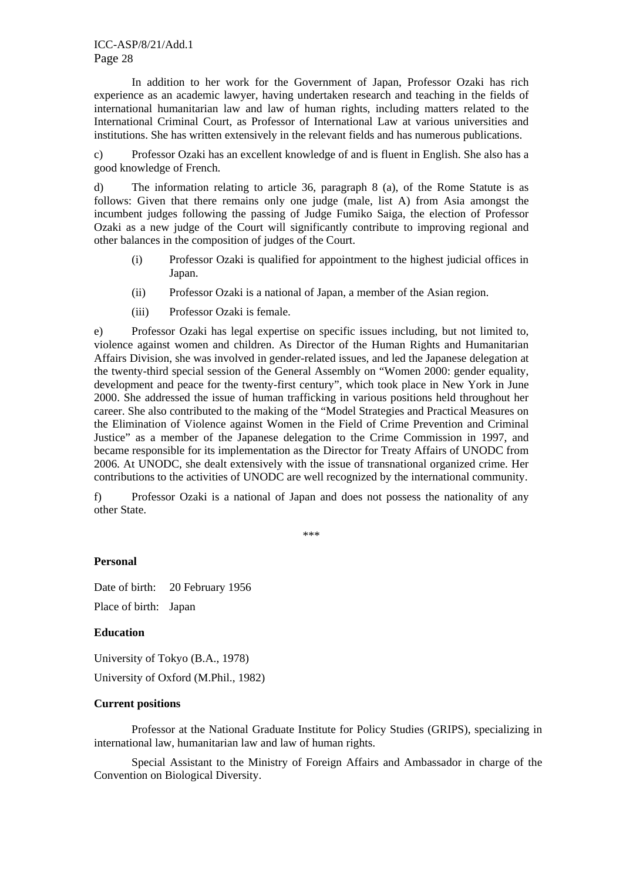In addition to her work for the Government of Japan, Professor Ozaki has rich experience as an academic lawyer, having undertaken research and teaching in the fields of international humanitarian law and law of human rights, including matters related to the International Criminal Court, as Professor of International Law at various universities and institutions. She has written extensively in the relevant fields and has numerous publications.

c) Professor Ozaki has an excellent knowledge of and is fluent in English. She also has a good knowledge of French.

d) The information relating to article 36, paragraph 8 (a), of the Rome Statute is as follows: Given that there remains only one judge (male, list A) from Asia amongst the incumbent judges following the passing of Judge Fumiko Saiga, the election of Professor Ozaki as a new judge of the Court will significantly contribute to improving regional and other balances in the composition of judges of the Court.

- (i) Professor Ozaki is qualified for appointment to the highest judicial offices in Japan.
- (ii) Professor Ozaki is a national of Japan, a member of the Asian region.
- (iii) Professor Ozaki is female.

e) Professor Ozaki has legal expertise on specific issues including, but not limited to, violence against women and children. As Director of the Human Rights and Humanitarian Affairs Division, she was involved in gender-related issues, and led the Japanese delegation at the twenty-third special session of the General Assembly on "Women 2000: gender equality, development and peace for the twenty-first century", which took place in New York in June 2000. She addressed the issue of human trafficking in various positions held throughout her career. She also contributed to the making of the "Model Strategies and Practical Measures on the Elimination of Violence against Women in the Field of Crime Prevention and Criminal Justice" as a member of the Japanese delegation to the Crime Commission in 1997, and became responsible for its implementation as the Director for Treaty Affairs of UNODC from 2006. At UNODC, she dealt extensively with the issue of transnational organized crime. Her contributions to the activities of UNODC are well recognized by the international community.

f) Professor Ozaki is a national of Japan and does not possess the nationality of any other State.

\*\*\*

### **Personal**

Date of birth: 20 February 1956 Place of birth: Japan

### **Education**

University of Tokyo (B.A., 1978)

University of Oxford (M.Phil., 1982)

#### **Current positions**

Professor at the National Graduate Institute for Policy Studies (GRIPS), specializing in international law, humanitarian law and law of human rights.

Special Assistant to the Ministry of Foreign Affairs and Ambassador in charge of the Convention on Biological Diversity.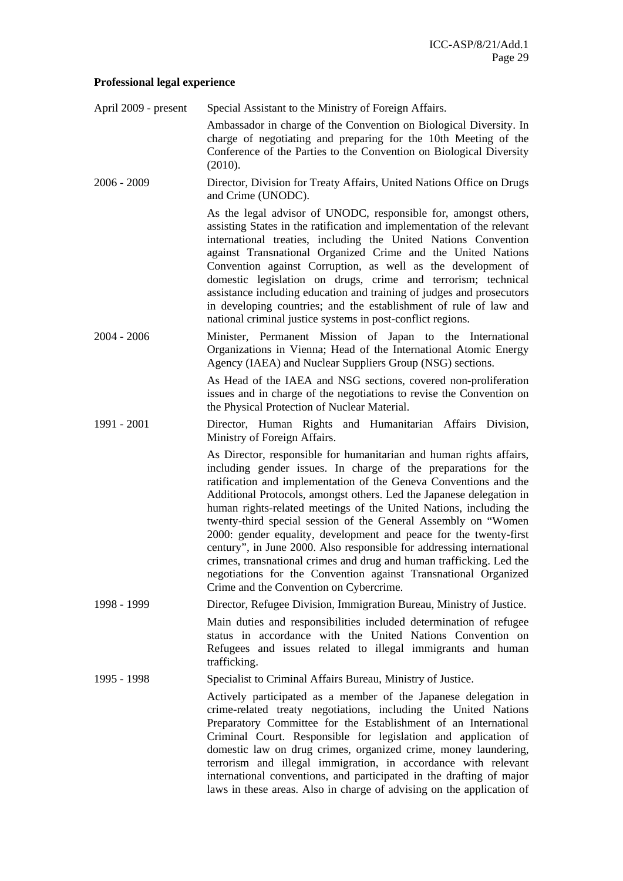#### **Professional legal experience**

April 2009 - present Special Assistant to the Ministry of Foreign Affairs.

 Ambassador in charge of the Convention on Biological Diversity. In charge of negotiating and preparing for the 10th Meeting of the Conference of the Parties to the Convention on Biological Diversity (2010).

2006 - 2009 Director, Division for Treaty Affairs, United Nations Office on Drugs and Crime (UNODC).

> As the legal advisor of UNODC, responsible for, amongst others, assisting States in the ratification and implementation of the relevant international treaties, including the United Nations Convention against Transnational Organized Crime and the United Nations Convention against Corruption, as well as the development of domestic legislation on drugs, crime and terrorism; technical assistance including education and training of judges and prosecutors in developing countries; and the establishment of rule of law and national criminal justice systems in post-conflict regions.

2004 - 2006 Minister, Permanent Mission of Japan to the International Organizations in Vienna; Head of the International Atomic Energy Agency (IAEA) and Nuclear Suppliers Group (NSG) sections.

> As Head of the IAEA and NSG sections, covered non-proliferation issues and in charge of the negotiations to revise the Convention on the Physical Protection of Nuclear Material.

1991 - 2001 Director, Human Rights and Humanitarian Affairs Division, Ministry of Foreign Affairs.

> As Director, responsible for humanitarian and human rights affairs, including gender issues. In charge of the preparations for the ratification and implementation of the Geneva Conventions and the Additional Protocols, amongst others. Led the Japanese delegation in human rights-related meetings of the United Nations, including the twenty-third special session of the General Assembly on "Women 2000: gender equality, development and peace for the twenty-first century", in June 2000. Also responsible for addressing international crimes, transnational crimes and drug and human trafficking. Led the negotiations for the Convention against Transnational Organized Crime and the Convention on Cybercrime.

1998 - 1999 Director, Refugee Division, Immigration Bureau, Ministry of Justice.

Main duties and responsibilities included determination of refugee status in accordance with the United Nations Convention on Refugees and issues related to illegal immigrants and human trafficking.

1995 - 1998 Specialist to Criminal Affairs Bureau, Ministry of Justice.

 Actively participated as a member of the Japanese delegation in crime-related treaty negotiations, including the United Nations Preparatory Committee for the Establishment of an International Criminal Court. Responsible for legislation and application of domestic law on drug crimes, organized crime, money laundering, terrorism and illegal immigration, in accordance with relevant international conventions, and participated in the drafting of major laws in these areas. Also in charge of advising on the application of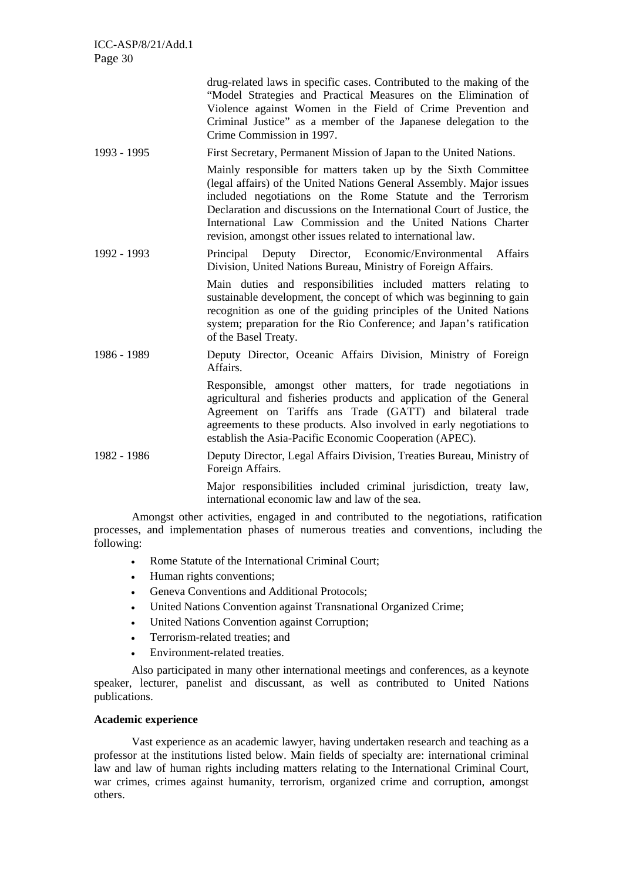|             | drug-related laws in specific cases. Contributed to the making of the<br>"Model Strategies and Practical Measures on the Elimination of<br>Violence against Women in the Field of Crime Prevention and<br>Criminal Justice" as a member of the Japanese delegation to the<br>Crime Commission in 1997.                                                                                                         |
|-------------|----------------------------------------------------------------------------------------------------------------------------------------------------------------------------------------------------------------------------------------------------------------------------------------------------------------------------------------------------------------------------------------------------------------|
| 1993 - 1995 | First Secretary, Permanent Mission of Japan to the United Nations.                                                                                                                                                                                                                                                                                                                                             |
|             | Mainly responsible for matters taken up by the Sixth Committee<br>(legal affairs) of the United Nations General Assembly. Major issues<br>included negotiations on the Rome Statute and the Terrorism<br>Declaration and discussions on the International Court of Justice, the<br>International Law Commission and the United Nations Charter<br>revision, amongst other issues related to international law. |
| 1992 - 1993 | Deputy Director, Economic/Environmental<br>Affairs<br>Principal<br>Division, United Nations Bureau, Ministry of Foreign Affairs.                                                                                                                                                                                                                                                                               |
|             | Main duties and responsibilities included matters relating to<br>sustainable development, the concept of which was beginning to gain<br>recognition as one of the guiding principles of the United Nations<br>system; preparation for the Rio Conference; and Japan's ratification<br>of the Basel Treaty.                                                                                                     |
| 1986 - 1989 | Deputy Director, Oceanic Affairs Division, Ministry of Foreign<br>Affairs.                                                                                                                                                                                                                                                                                                                                     |
|             | Responsible, amongst other matters, for trade negotiations in<br>agricultural and fisheries products and application of the General<br>Agreement on Tariffs ans Trade (GATT) and bilateral trade<br>agreements to these products. Also involved in early negotiations to<br>establish the Asia-Pacific Economic Cooperation (APEC).                                                                            |
| 1982 - 1986 | Deputy Director, Legal Affairs Division, Treaties Bureau, Ministry of<br>Foreign Affairs.                                                                                                                                                                                                                                                                                                                      |
|             | Major responsibilities included criminal jurisdiction, treaty law,<br>international economic law and law of the sea.                                                                                                                                                                                                                                                                                           |

Amongst other activities, engaged in and contributed to the negotiations, ratification processes, and implementation phases of numerous treaties and conventions, including the following:

- Rome Statute of the International Criminal Court;
- Human rights conventions:
- Geneva Conventions and Additional Protocols;
- United Nations Convention against Transnational Organized Crime;
- United Nations Convention against Corruption;
- Terrorism-related treaties; and
- Environment-related treaties.

Also participated in many other international meetings and conferences, as a keynote speaker, lecturer, panelist and discussant, as well as contributed to United Nations publications.

### **Academic experience**

Vast experience as an academic lawyer, having undertaken research and teaching as a professor at the institutions listed below. Main fields of specialty are: international criminal law and law of human rights including matters relating to the International Criminal Court, war crimes, crimes against humanity, terrorism, organized crime and corruption, amongst others.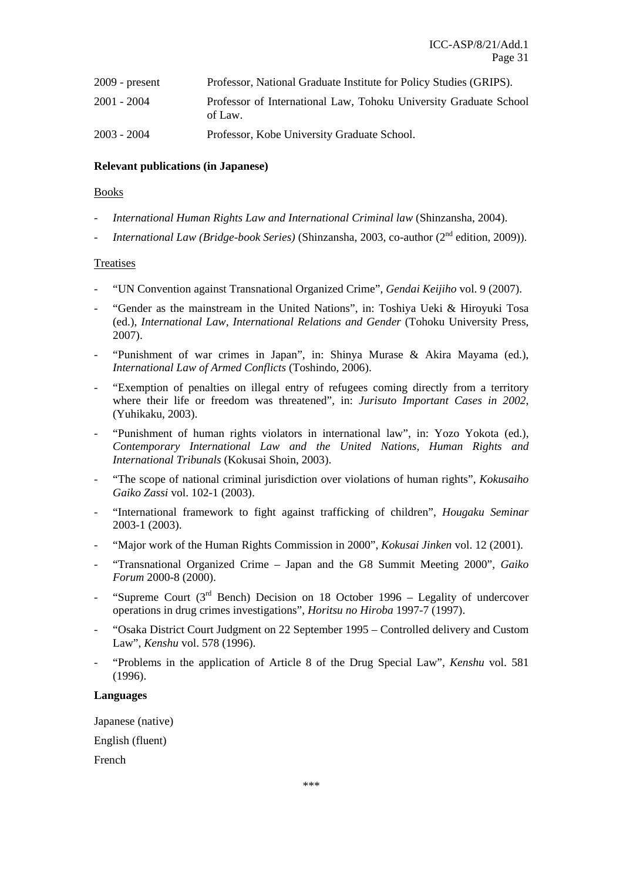| $2009$ - present | Professor, National Graduate Institute for Policy Studies (GRIPS).           |
|------------------|------------------------------------------------------------------------------|
| 2001 - 2004      | Professor of International Law, Tohoku University Graduate School<br>of Law. |
| $2003 - 2004$    | Professor, Kobe University Graduate School.                                  |

### **Relevant publications (in Japanese)**

### Books

- *International Human Rights Law and International Criminal law* (Shinzansha, 2004).
- *International Law (Bridge-book Series)* (Shinzansha, 2003, co-author (2nd edition, 2009)).

### Treatises

- "UN Convention against Transnational Organized Crime", *Gendai Keijiho* vol. 9 (2007).
- "Gender as the mainstream in the United Nations", in: Toshiya Ueki & Hiroyuki Tosa (ed.), *International Law, International Relations and Gender* (Tohoku University Press, 2007).
- "Punishment of war crimes in Japan", in: Shinya Murase & Akira Mayama (ed.), *International Law of Armed Conflicts* (Toshindo, 2006).
- "Exemption of penalties on illegal entry of refugees coming directly from a territory where their life or freedom was threatened", in: *Jurisuto Important Cases in 2002*, (Yuhikaku, 2003).
- "Punishment of human rights violators in international law", in: Yozo Yokota (ed.), *Contemporary International Law and the United Nations, Human Rights and International Tribunals* (Kokusai Shoin, 2003).
- "The scope of national criminal jurisdiction over violations of human rights", *Kokusaiho Gaiko Zassi* vol. 102-1 (2003).
- "International framework to fight against trafficking of children", *Hougaku Seminar* 2003-1 (2003).
- "Major work of the Human Rights Commission in 2000", *Kokusai Jinken* vol. 12 (2001).
- "Transnational Organized Crime Japan and the G8 Summit Meeting 2000", *Gaiko Forum* 2000-8 (2000).
- "Supreme Court ( $3<sup>rd</sup>$  Bench) Decision on 18 October 1996 Legality of undercover operations in drug crimes investigations", *Horitsu no Hiroba* 1997-7 (1997).
- "Osaka District Court Judgment on 22 September 1995 Controlled delivery and Custom Law", *Kenshu* vol. 578 (1996).
- "Problems in the application of Article 8 of the Drug Special Law", *Kenshu* vol. 581 (1996).

#### **Languages**

Japanese (native)

English (fluent)

French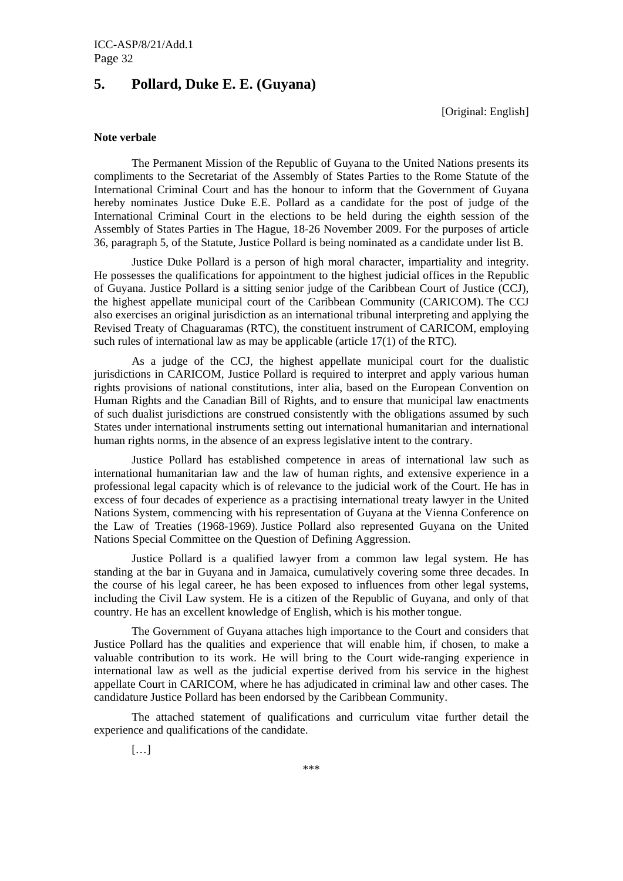# **5. Pollard, Duke E. E. (Guyana)**

[Original: English]

#### **Note verbale**

The Permanent Mission of the Republic of Guyana to the United Nations presents its compliments to the Secretariat of the Assembly of States Parties to the Rome Statute of the International Criminal Court and has the honour to inform that the Government of Guyana hereby nominates Justice Duke E.E. Pollard as a candidate for the post of judge of the International Criminal Court in the elections to be held during the eighth session of the Assembly of States Parties in The Hague, 18-26 November 2009. For the purposes of article 36, paragraph 5, of the Statute, Justice Pollard is being nominated as a candidate under list B.

Justice Duke Pollard is a person of high moral character, impartiality and integrity. He possesses the qualifications for appointment to the highest judicial offices in the Republic of Guyana. Justice Pollard is a sitting senior judge of the Caribbean Court of Justice (CCJ), the highest appellate municipal court of the Caribbean Community (CARICOM). The CCJ also exercises an original jurisdiction as an international tribunal interpreting and applying the Revised Treaty of Chaguaramas (RTC), the constituent instrument of CARICOM, employing such rules of international law as may be applicable (article 17(1) of the RTC).

As a judge of the CCJ, the highest appellate municipal court for the dualistic jurisdictions in CARICOM, Justice Pollard is required to interpret and apply various human rights provisions of national constitutions, inter alia, based on the European Convention on Human Rights and the Canadian Bill of Rights, and to ensure that municipal law enactments of such dualist jurisdictions are construed consistently with the obligations assumed by such States under international instruments setting out international humanitarian and international human rights norms, in the absence of an express legislative intent to the contrary.

Justice Pollard has established competence in areas of international law such as international humanitarian law and the law of human rights, and extensive experience in a professional legal capacity which is of relevance to the judicial work of the Court. He has in excess of four decades of experience as a practising international treaty lawyer in the United Nations System, commencing with his representation of Guyana at the Vienna Conference on the Law of Treaties (1968-1969). Justice Pollard also represented Guyana on the United Nations Special Committee on the Question of Defining Aggression.

Justice Pollard is a qualified lawyer from a common law legal system. He has standing at the bar in Guyana and in Jamaica, cumulatively covering some three decades. In the course of his legal career, he has been exposed to influences from other legal systems, including the Civil Law system. He is a citizen of the Republic of Guyana, and only of that country. He has an excellent knowledge of English, which is his mother tongue.

The Government of Guyana attaches high importance to the Court and considers that Justice Pollard has the qualities and experience that will enable him, if chosen, to make a valuable contribution to its work. He will bring to the Court wide-ranging experience in international law as well as the judicial expertise derived from his service in the highest appellate Court in CARICOM, where he has adjudicated in criminal law and other cases. The candidature Justice Pollard has been endorsed by the Caribbean Community.

The attached statement of qualifications and curriculum vitae further detail the experience and qualifications of the candidate.

[…]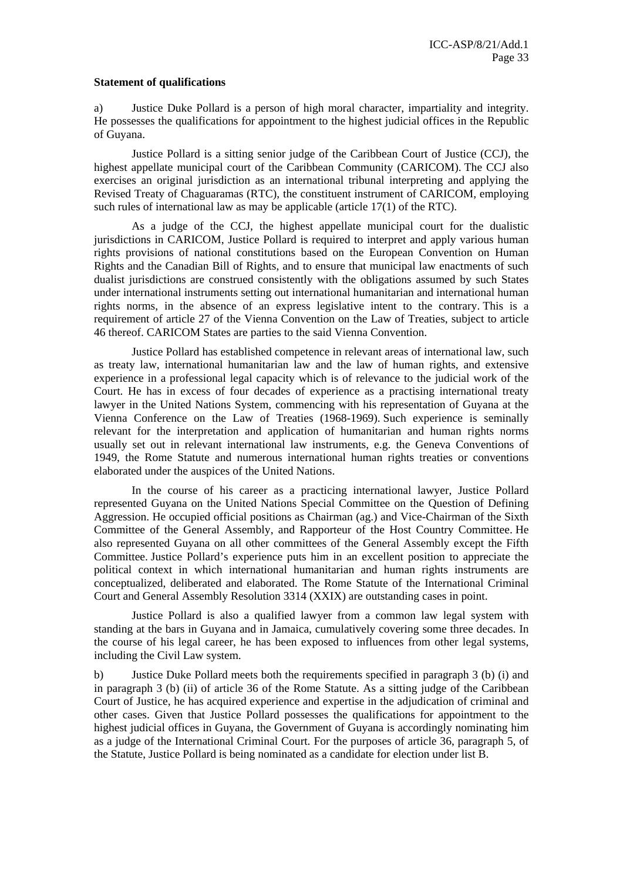#### **Statement of qualifications**

a) Justice Duke Pollard is a person of high moral character, impartiality and integrity. He possesses the qualifications for appointment to the highest judicial offices in the Republic of Guyana.

Justice Pollard is a sitting senior judge of the Caribbean Court of Justice (CCJ), the highest appellate municipal court of the Caribbean Community (CARICOM). The CCJ also exercises an original jurisdiction as an international tribunal interpreting and applying the Revised Treaty of Chaguaramas (RTC), the constituent instrument of CARICOM, employing such rules of international law as may be applicable (article 17(1) of the RTC).

As a judge of the CCJ, the highest appellate municipal court for the dualistic jurisdictions in CARICOM, Justice Pollard is required to interpret and apply various human rights provisions of national constitutions based on the European Convention on Human Rights and the Canadian Bill of Rights, and to ensure that municipal law enactments of such dualist jurisdictions are construed consistently with the obligations assumed by such States under international instruments setting out international humanitarian and international human rights norms, in the absence of an express legislative intent to the contrary. This is a requirement of article 27 of the Vienna Convention on the Law of Treaties, subject to article 46 thereof. CARICOM States are parties to the said Vienna Convention.

Justice Pollard has established competence in relevant areas of international law, such as treaty law, international humanitarian law and the law of human rights, and extensive experience in a professional legal capacity which is of relevance to the judicial work of the Court. He has in excess of four decades of experience as a practising international treaty lawyer in the United Nations System, commencing with his representation of Guyana at the Vienna Conference on the Law of Treaties (1968-1969). Such experience is seminally relevant for the interpretation and application of humanitarian and human rights norms usually set out in relevant international law instruments, e.g. the Geneva Conventions of 1949, the Rome Statute and numerous international human rights treaties or conventions elaborated under the auspices of the United Nations.

In the course of his career as a practicing international lawyer, Justice Pollard represented Guyana on the United Nations Special Committee on the Question of Defining Aggression. He occupied official positions as Chairman (ag.) and Vice-Chairman of the Sixth Committee of the General Assembly, and Rapporteur of the Host Country Committee. He also represented Guyana on all other committees of the General Assembly except the Fifth Committee. Justice Pollard's experience puts him in an excellent position to appreciate the political context in which international humanitarian and human rights instruments are conceptualized, deliberated and elaborated. The Rome Statute of the International Criminal Court and General Assembly Resolution 3314 (XXIX) are outstanding cases in point.

Justice Pollard is also a qualified lawyer from a common law legal system with standing at the bars in Guyana and in Jamaica, cumulatively covering some three decades. In the course of his legal career, he has been exposed to influences from other legal systems, including the Civil Law system.

b) Justice Duke Pollard meets both the requirements specified in paragraph 3 (b) (i) and in paragraph 3 (b) (ii) of article 36 of the Rome Statute. As a sitting judge of the Caribbean Court of Justice, he has acquired experience and expertise in the adjudication of criminal and other cases. Given that Justice Pollard possesses the qualifications for appointment to the highest judicial offices in Guyana, the Government of Guyana is accordingly nominating him as a judge of the International Criminal Court. For the purposes of article 36, paragraph 5, of the Statute, Justice Pollard is being nominated as a candidate for election under list B.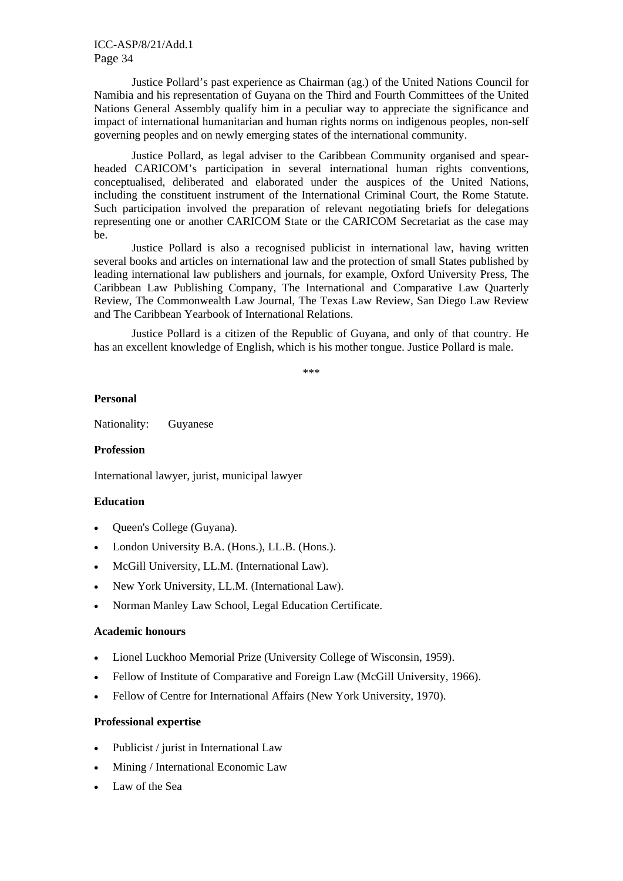ICC-ASP/8/21/Add.1 Page 34

Justice Pollard's past experience as Chairman (ag.) of the United Nations Council for Namibia and his representation of Guyana on the Third and Fourth Committees of the United Nations General Assembly qualify him in a peculiar way to appreciate the significance and impact of international humanitarian and human rights norms on indigenous peoples, non-self governing peoples and on newly emerging states of the international community.

Justice Pollard, as legal adviser to the Caribbean Community organised and spearheaded CARICOM's participation in several international human rights conventions, conceptualised, deliberated and elaborated under the auspices of the United Nations, including the constituent instrument of the International Criminal Court, the Rome Statute. Such participation involved the preparation of relevant negotiating briefs for delegations representing one or another CARICOM State or the CARICOM Secretariat as the case may be.

Justice Pollard is also a recognised publicist in international law, having written several books and articles on international law and the protection of small States published by leading international law publishers and journals, for example, Oxford University Press, The Caribbean Law Publishing Company, The International and Comparative Law Quarterly Review, The Commonwealth Law Journal, The Texas Law Review, San Diego Law Review and The Caribbean Yearbook of International Relations.

Justice Pollard is a citizen of the Republic of Guyana, and only of that country. He has an excellent knowledge of English, which is his mother tongue. Justice Pollard is male.

\*\*\*

#### **Personal**

Nationality: Guyanese

#### **Profession**

International lawyer, jurist, municipal lawyer

### **Education**

- Queen's College (Guyana).
- London University B.A. (Hons.), LL.B. (Hons.).
- McGill University, LL.M. (International Law).
- New York University, LL.M. (International Law).
- Norman Manley Law School, Legal Education Certificate.

#### **Academic honours**

- Lionel Luckhoo Memorial Prize (University College of Wisconsin, 1959).
- Fellow of Institute of Comparative and Foreign Law (McGill University, 1966).
- Fellow of Centre for International Affairs (New York University, 1970).

#### **Professional expertise**

- Publicist / jurist in International Law
- Mining / International Economic Law
- Law of the Sea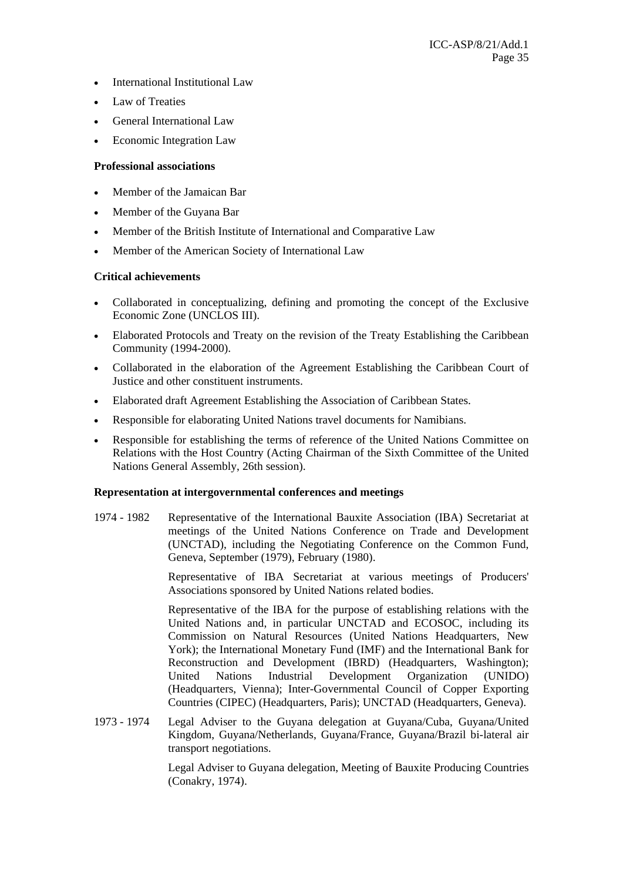- International Institutional Law
- Law of Treaties
- General International Law
- Economic Integration Law

### **Professional associations**

- Member of the Jamaican Bar
- Member of the Guyana Bar
- Member of the British Institute of International and Comparative Law
- Member of the American Society of International Law

### **Critical achievements**

- Collaborated in conceptualizing, defining and promoting the concept of the Exclusive Economic Zone (UNCLOS III).
- Elaborated Protocols and Treaty on the revision of the Treaty Establishing the Caribbean Community (1994-2000).
- Collaborated in the elaboration of the Agreement Establishing the Caribbean Court of Justice and other constituent instruments.
- Elaborated draft Agreement Establishing the Association of Caribbean States.
- Responsible for elaborating United Nations travel documents for Namibians.
- Responsible for establishing the terms of reference of the United Nations Committee on Relations with the Host Country (Acting Chairman of the Sixth Committee of the United Nations General Assembly, 26th session).

# **Representation at intergovernmental conferences and meetings**

1974 - 1982 Representative of the International Bauxite Association (IBA) Secretariat at meetings of the United Nations Conference on Trade and Development (UNCTAD), including the Negotiating Conference on the Common Fund, Geneva, September (1979), February (1980).

> Representative of IBA Secretariat at various meetings of Producers' Associations sponsored by United Nations related bodies.

> Representative of the IBA for the purpose of establishing relations with the United Nations and, in particular UNCTAD and ECOSOC, including its Commission on Natural Resources (United Nations Headquarters, New York); the International Monetary Fund (IMF) and the International Bank for Reconstruction and Development (IBRD) (Headquarters, Washington); United Nations Industrial Development Organization (UNIDO) (Headquarters, Vienna); Inter-Governmental Council of Copper Exporting Countries (CIPEC) (Headquarters, Paris); UNCTAD (Headquarters, Geneva).

1973 - 1974 Legal Adviser to the Guyana delegation at Guyana/Cuba, Guyana/United Kingdom, Guyana/Netherlands, Guyana/France, Guyana/Brazil bi-lateral air transport negotiations.

> Legal Adviser to Guyana delegation, Meeting of Bauxite Producing Countries (Conakry, 1974).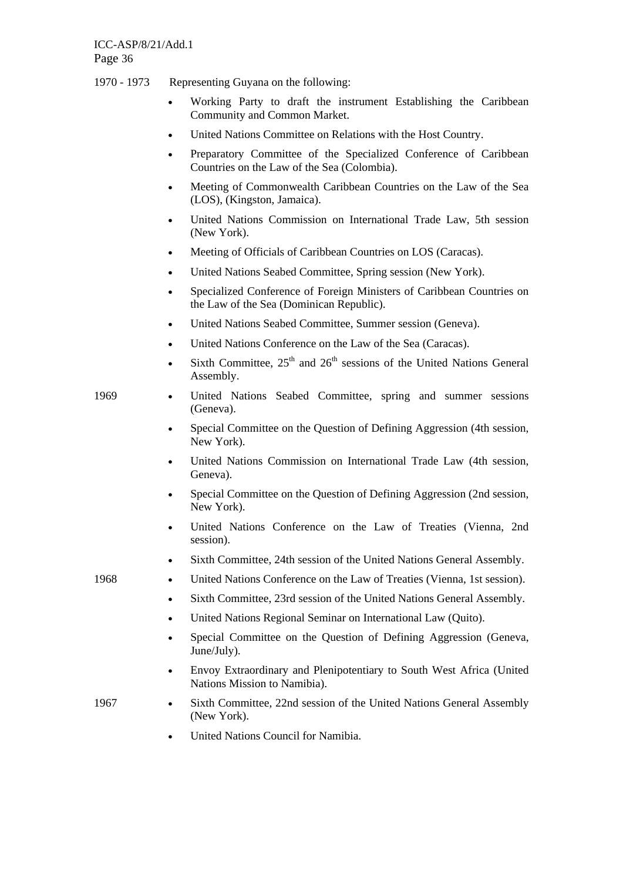- 1970 1973 Representing Guyana on the following:
	- Working Party to draft the instrument Establishing the Caribbean Community and Common Market.
	- United Nations Committee on Relations with the Host Country.
	- Preparatory Committee of the Specialized Conference of Caribbean Countries on the Law of the Sea (Colombia).
	- Meeting of Commonwealth Caribbean Countries on the Law of the Sea (LOS), (Kingston, Jamaica).
	- United Nations Commission on International Trade Law, 5th session (New York).
	- Meeting of Officials of Caribbean Countries on LOS (Caracas).
	- United Nations Seabed Committee, Spring session (New York).
	- Specialized Conference of Foreign Ministers of Caribbean Countries on the Law of the Sea (Dominican Republic).
	- United Nations Seabed Committee, Summer session (Geneva).
	- United Nations Conference on the Law of the Sea (Caracas).
	- Sixth Committee,  $25<sup>th</sup>$  and  $26<sup>th</sup>$  sessions of the United Nations General Assembly.
- 1969 United Nations Seabed Committee, spring and summer sessions (Geneva).
	- Special Committee on the Question of Defining Aggression (4th session, New York).
	- United Nations Commission on International Trade Law (4th session, Geneva).
	- Special Committee on the Question of Defining Aggression (2nd session, New York).
	- United Nations Conference on the Law of Treaties (Vienna, 2nd session).
	- Sixth Committee, 24th session of the United Nations General Assembly.

1968 • United Nations Conference on the Law of Treaties (Vienna, 1st session).

- Sixth Committee, 23rd session of the United Nations General Assembly.
- United Nations Regional Seminar on International Law (Quito).
- Special Committee on the Ouestion of Defining Aggression (Geneva, June/July).
- Envoy Extraordinary and Plenipotentiary to South West Africa (United Nations Mission to Namibia).
- 
- 1967 Sixth Committee, 22nd session of the United Nations General Assembly (New York).
	- United Nations Council for Namibia.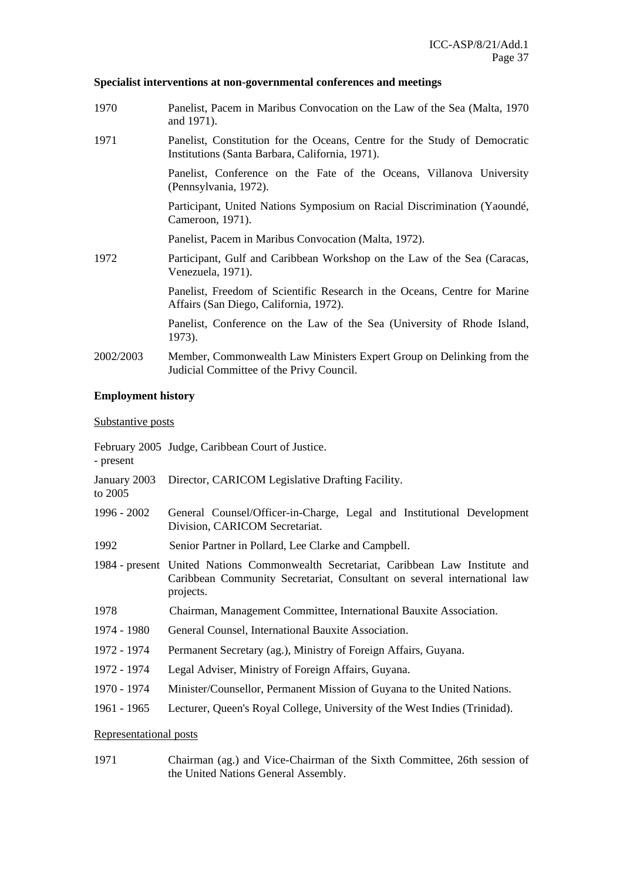# **Specialist interventions at non-governmental conferences and meetings**

| 1970      | Panelist, Pacem in Maribus Convocation on the Law of the Sea (Malta, 1970)<br>and 1971).                                     |
|-----------|------------------------------------------------------------------------------------------------------------------------------|
| 1971      | Panelist, Constitution for the Oceans, Centre for the Study of Democratic<br>Institutions (Santa Barbara, California, 1971). |
|           | Panelist, Conference on the Fate of the Oceans, Villanova University<br>(Pennsylvania, 1972).                                |
|           | Participant, United Nations Symposium on Racial Discrimination (Yaoundé,<br>Cameroon, 1971).                                 |
|           | Panelist, Pacem in Maribus Convocation (Malta, 1972).                                                                        |
| 1972      | Participant, Gulf and Caribbean Workshop on the Law of the Sea (Caracas,<br>Venezuela, 1971).                                |
|           | Panelist, Freedom of Scientific Research in the Oceans, Centre for Marine<br>Affairs (San Diego, California, 1972).          |
|           | Panelist, Conference on the Law of the Sea (University of Rhode Island,<br>1973).                                            |
| 2002/2003 | Member, Commonwealth Law Ministers Expert Group on Delinking from the<br>Judicial Committee of the Privy Council.            |

# **Employment history**

# Substantive posts

| - present               | February 2005 Judge, Caribbean Court of Justice.                                                                                                                             |
|-------------------------|------------------------------------------------------------------------------------------------------------------------------------------------------------------------------|
| January 2003<br>to 2005 | Director, CARICOM Legislative Drafting Facility.                                                                                                                             |
| 1996 - 2002             | General Counsel/Officer-in-Charge, Legal and Institutional Development<br>Division, CARICOM Secretariat.                                                                     |
| 1992                    | Senior Partner in Pollard, Lee Clarke and Campbell.                                                                                                                          |
|                         | 1984 - present United Nations Commonwealth Secretariat, Caribbean Law Institute and<br>Caribbean Community Secretariat, Consultant on several international law<br>projects. |
| 1978                    | Chairman, Management Committee, International Bauxite Association.                                                                                                           |
| 1974 - 1980             | General Counsel, International Bauxite Association.                                                                                                                          |
| 1972 - 1974             | Permanent Secretary (ag.), Ministry of Foreign Affairs, Guyana.                                                                                                              |
| 1972 - 1974             | Legal Adviser, Ministry of Foreign Affairs, Guyana.                                                                                                                          |
| 1970 - 1974             | Minister/Counsellor, Permanent Mission of Guyana to the United Nations.                                                                                                      |
| 1961 - 1965             | Lecturer, Queen's Royal College, University of the West Indies (Trinidad).                                                                                                   |
| Representational posts  |                                                                                                                                                                              |

1971 Chairman (ag.) and Vice-Chairman of the Sixth Committee, 26th session of the United Nations General Assembly.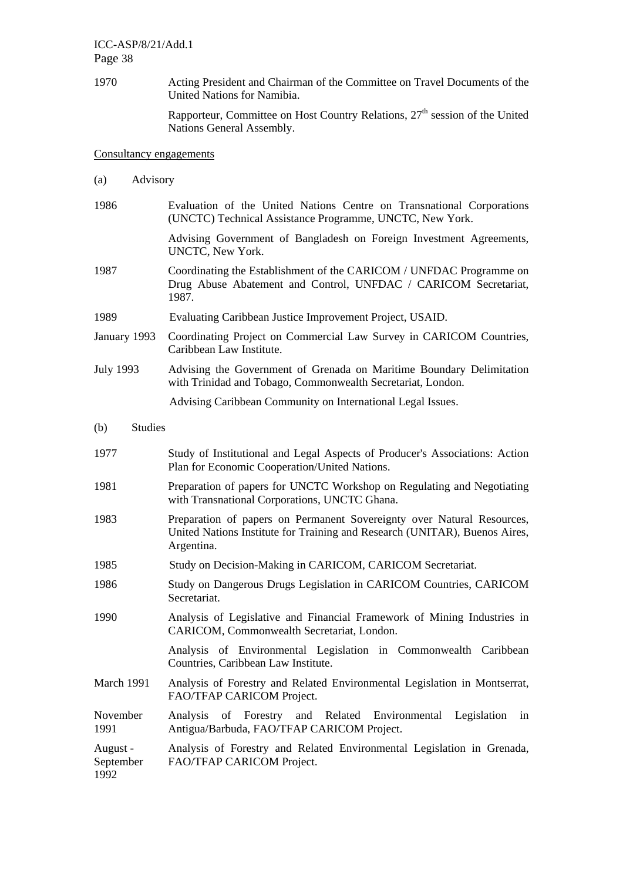ICC-ASP/8/21/Add.1 Page 38

1970 Acting President and Chairman of the Committee on Travel Documents of the United Nations for Namibia.

> Rapporteur, Committee on Host Country Relations,  $27<sup>th</sup>$  session of the United Nations General Assembly.

#### Consultancy engagements

- (a) Advisory
- 1986 Evaluation of the United Nations Centre on Transnational Corporations (UNCTC) Technical Assistance Programme, UNCTC, New York. Advising Government of Bangladesh on Foreign Investment Agreements, UNCTC, New York.
- 1987 Coordinating the Establishment of the CARICOM / UNFDAC Programme on Drug Abuse Abatement and Control, UNFDAC / CARICOM Secretariat, 1987.
- 1989 Evaluating Caribbean Justice Improvement Project, USAID.
- January 1993 Coordinating Project on Commercial Law Survey in CARICOM Countries, Caribbean Law Institute.
- July 1993 Advising the Government of Grenada on Maritime Boundary Delimitation with Trinidad and Tobago, Commonwealth Secretariat, London.

Advising Caribbean Community on International Legal Issues.

- (b) Studies
- 1977 Study of Institutional and Legal Aspects of Producer's Associations: Action Plan for Economic Cooperation/United Nations.
- 1981 Preparation of papers for UNCTC Workshop on Regulating and Negotiating with Transnational Corporations, UNCTC Ghana.
- 1983 Preparation of papers on Permanent Sovereignty over Natural Resources, United Nations Institute for Training and Research (UNITAR), Buenos Aires, Argentina.
- 1985 Study on Decision-Making in CARICOM, CARICOM Secretariat.
- 1986 Study on Dangerous Drugs Legislation in CARICOM Countries, CARICOM Secretariat.
- 1990 Analysis of Legislative and Financial Framework of Mining Industries in CARICOM, Commonwealth Secretariat, London.

 Analysis of Environmental Legislation in Commonwealth Caribbean Countries, Caribbean Law Institute.

March 1991 Analysis of Forestry and Related Environmental Legislation in Montserrat, FAO/TFAP CARICOM Project.

November 1991 Analysis of Forestry and Related Environmental Legislation in Antigua/Barbuda, FAO/TFAP CARICOM Project.

August - September 1992 Analysis of Forestry and Related Environmental Legislation in Grenada, FAO/TFAP CARICOM Project.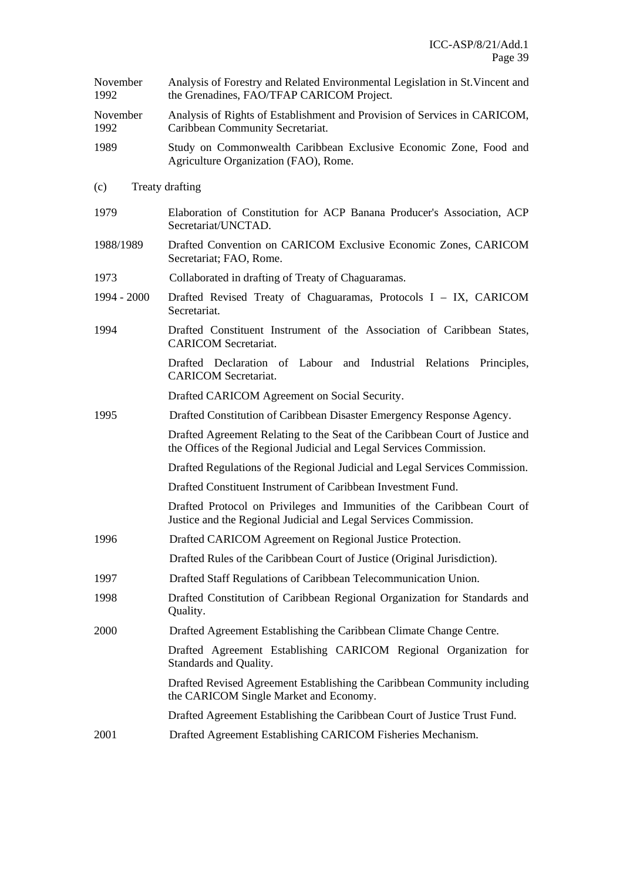| November<br>1992 | Analysis of Forestry and Related Environmental Legislation in St. Vincent and<br>the Grenadines, FAO/TFAP CARICOM Project.                          |
|------------------|-----------------------------------------------------------------------------------------------------------------------------------------------------|
| November<br>1992 | Analysis of Rights of Establishment and Provision of Services in CARICOM,<br>Caribbean Community Secretariat.                                       |
| 1989             | Study on Commonwealth Caribbean Exclusive Economic Zone, Food and<br>Agriculture Organization (FAO), Rome.                                          |
| (c)              | Treaty drafting                                                                                                                                     |
| 1979             | Elaboration of Constitution for ACP Banana Producer's Association, ACP<br>Secretariat/UNCTAD.                                                       |
| 1988/1989        | Drafted Convention on CARICOM Exclusive Economic Zones, CARICOM<br>Secretariat; FAO, Rome.                                                          |
| 1973             | Collaborated in drafting of Treaty of Chaguaramas.                                                                                                  |
| $1994 - 2000$    | Drafted Revised Treaty of Chaguaramas, Protocols I - IX, CARICOM<br>Secretariat.                                                                    |
| 1994             | Drafted Constituent Instrument of the Association of Caribbean States,<br><b>CARICOM</b> Secretariat.                                               |
|                  | Drafted Declaration of Labour and Industrial Relations Principles,<br><b>CARICOM</b> Secretariat.                                                   |
|                  | Drafted CARICOM Agreement on Social Security.                                                                                                       |
| 1995             | Drafted Constitution of Caribbean Disaster Emergency Response Agency.                                                                               |
|                  | Drafted Agreement Relating to the Seat of the Caribbean Court of Justice and<br>the Offices of the Regional Judicial and Legal Services Commission. |
|                  | Drafted Regulations of the Regional Judicial and Legal Services Commission.                                                                         |
|                  | Drafted Constituent Instrument of Caribbean Investment Fund.                                                                                        |
|                  | Drafted Protocol on Privileges and Immunities of the Caribbean Court of<br>Justice and the Regional Judicial and Legal Services Commission.         |
| 1996             | Drafted CARICOM Agreement on Regional Justice Protection.                                                                                           |
|                  | Drafted Rules of the Caribbean Court of Justice (Original Jurisdiction).                                                                            |
| 1997             | Drafted Staff Regulations of Caribbean Telecommunication Union.                                                                                     |
| 1998             | Drafted Constitution of Caribbean Regional Organization for Standards and<br>Quality.                                                               |
| 2000             | Drafted Agreement Establishing the Caribbean Climate Change Centre.                                                                                 |
|                  | Drafted Agreement Establishing CARICOM Regional Organization for<br>Standards and Quality.                                                          |
|                  | Drafted Revised Agreement Establishing the Caribbean Community including<br>the CARICOM Single Market and Economy.                                  |
|                  | Drafted Agreement Establishing the Caribbean Court of Justice Trust Fund.                                                                           |
| 2001             | Drafted Agreement Establishing CARICOM Fisheries Mechanism.                                                                                         |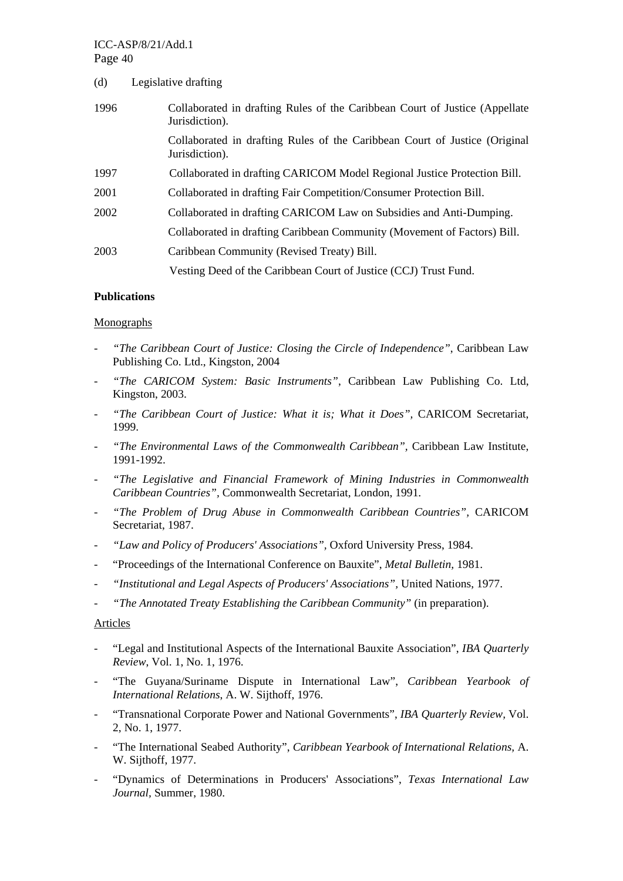# ICC-ASP/8/21/Add.1 Page 40

| (d)  | Legislative drafting                                                                          |
|------|-----------------------------------------------------------------------------------------------|
| 1996 | Collaborated in drafting Rules of the Caribbean Court of Justice (Appellate<br>Jurisdiction). |
|      | Collaborated in drafting Rules of the Caribbean Court of Justice (Original<br>Jurisdiction).  |
| 1997 | Collaborated in drafting CARICOM Model Regional Justice Protection Bill.                      |
| 2001 | Collaborated in drafting Fair Competition/Consumer Protection Bill.                           |
| 2002 | Collaborated in drafting CARICOM Law on Subsidies and Anti-Dumping.                           |
|      | Collaborated in drafting Caribbean Community (Movement of Factors) Bill.                      |
| 2003 | Caribbean Community (Revised Treaty) Bill.                                                    |
|      | Vesting Deed of the Caribbean Court of Justice (CCJ) Trust Fund.                              |

### **Publications**

#### Monographs

- *"The Caribbean Court of Justice: Closing the Circle of Independence"*, Caribbean Law Publishing Co. Ltd., Kingston, 2004
- "The CARICOM System: Basic Instruments", Caribbean Law Publishing Co. Ltd, Kingston, 2003.
- *"The Caribbean Court of Justice: What it is; What it Does",* CARICOM Secretariat, 1999.
- *"The Environmental Laws of the Commonwealth Caribbean",* Caribbean Law Institute, 1991-1992.
- *"The Legislative and Financial Framework of Mining Industries in Commonwealth Caribbean Countries",* Commonwealth Secretariat, London, 1991.
- *"The Problem of Drug Abuse in Commonwealth Caribbean Countries",* CARICOM Secretariat, 1987.
- *"Law and Policy of Producers' Associations",* Oxford University Press, 1984.
- "Proceedings of the International Conference on Bauxite", *Metal Bulletin,* 1981.
- *"Institutional and Legal Aspects of Producers' Associations",* United Nations, 1977.
- *"The Annotated Treaty Establishing the Caribbean Community"* (in preparation).

### Articles

- "Legal and Institutional Aspects of the International Bauxite Association", *IBA Quarterly Review*, Vol. 1, No. 1, 1976.
- "The Guyana/Suriname Dispute in International Law", *Caribbean Yearbook of International Relations*, A. W. Sijthoff, 1976.
- "Transnational Corporate Power and National Governments", *IBA Quarterly Review,* Vol. 2, No. 1, 1977.
- "The International Seabed Authority", *Caribbean Yearbook of International Relations,* A. W. Sijthoff, 1977.
- "Dynamics of Determinations in Producers' Associations", *Texas International Law Journal,* Summer, 1980.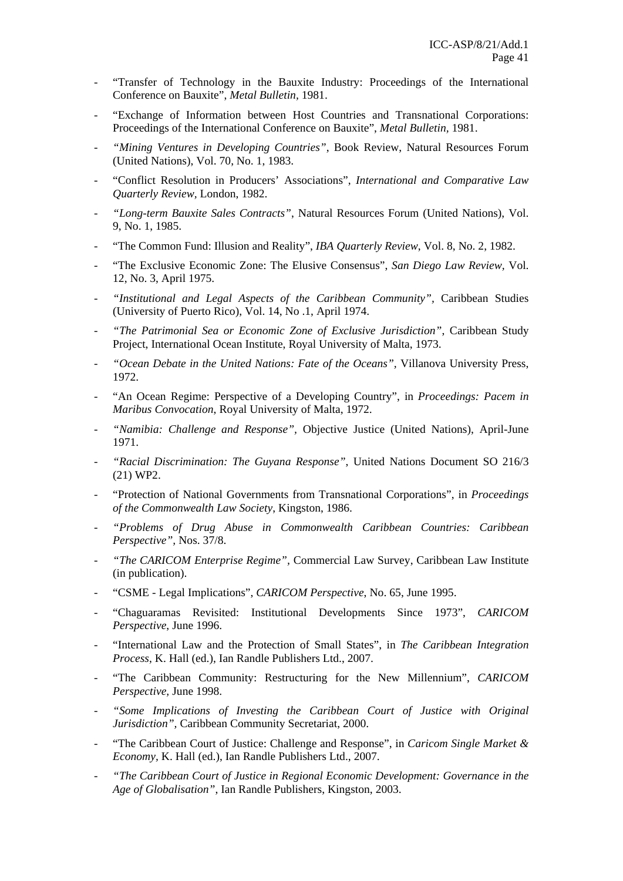- "Transfer of Technology in the Bauxite Industry: Proceedings of the International Conference on Bauxite", *Metal Bulletin,* 1981.
- "Exchange of Information between Host Countries and Transnational Corporations: Proceedings of the International Conference on Bauxite", *Metal Bulletin,* 1981.
- *"Mining Ventures in Developing Countries"*, Book Review, Natural Resources Forum (United Nations), Vol. 70, No. 1, 1983.
- "Conflict Resolution in Producers' Associations", *International and Comparative Law Quarterly Review,* London, 1982.
- *"Long-term Bauxite Sales Contracts"*, Natural Resources Forum (United Nations), Vol. 9, No. 1, 1985.
- "The Common Fund: Illusion and Reality", *IBA Quarterly Review*, Vol. 8, No. 2, 1982.
- "The Exclusive Economic Zone: The Elusive Consensus", *San Diego Law Review,* Vol. 12, No. 3, April 1975.
- *"Institutional and Legal Aspects of the Caribbean Community",* Caribbean Studies (University of Puerto Rico), Vol. 14, No .1, April 1974.
- *"The Patrimonial Sea or Economic Zone of Exclusive Jurisdiction"*, Caribbean Study Project, International Ocean Institute, Royal University of Malta, 1973.
- *"Ocean Debate in the United Nations: Fate of the Oceans",* Villanova University Press, 1972.
- "An Ocean Regime: Perspective of a Developing Country", in *Proceedings: Pacem in Maribus Convocation*, Royal University of Malta, 1972.
- *"Namibia: Challenge and Response",* Objective Justice (United Nations), April-June 1971.
- "Racial Discrimination: The Guyana Response", United Nations Document SO 216/3 (21) WP2.
- "Protection of National Governments from Transnational Corporations", in *Proceedings of the Commonwealth Law Society*, Kingston, 1986.
- *"Problems of Drug Abuse in Commonwealth Caribbean Countries: Caribbean Perspective",* Nos. 37/8.
- *"The CARICOM Enterprise Regime",* Commercial Law Survey, Caribbean Law Institute (in publication).
- "CSME Legal Implications", *CARICOM Perspective*, No. 65, June 1995.
- "Chaguaramas Revisited: Institutional Developments Since 1973", *CARICOM Perspective*, June 1996.
- "International Law and the Protection of Small States", in *The Caribbean Integration Process*, K. Hall (ed.), Ian Randle Publishers Ltd., 2007.
- "The Caribbean Community: Restructuring for the New Millennium", *CARICOM Perspective,* June 1998.
- *"Some Implications of Investing the Caribbean Court of Justice with Original Jurisdiction",* Caribbean Community Secretariat, 2000.
- "The Caribbean Court of Justice: Challenge and Response", in *Caricom Single Market & Economy,* K. Hall (ed.), Ian Randle Publishers Ltd., 2007.
- *"The Caribbean Court of Justice in Regional Economic Development: Governance in the Age of Globalisation"*, Ian Randle Publishers, Kingston, 2003.